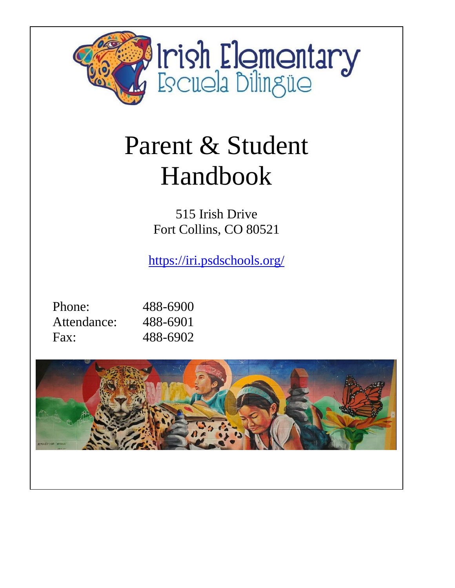

# Parent & Student Handbook

515 Irish Drive Fort Collins, CO 80521

<https://iri.psdschools.org/>

| Phone:      | 488-6900 |
|-------------|----------|
| Attendance: | 488-6901 |
| Fax:        | 488-6902 |

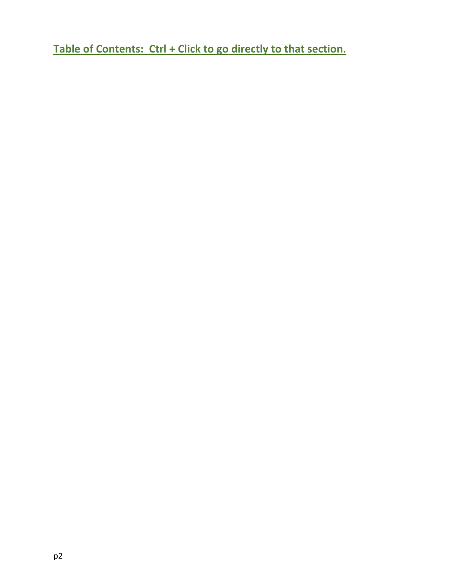**Table of Contents: Ctrl + Click to go directly to that section.**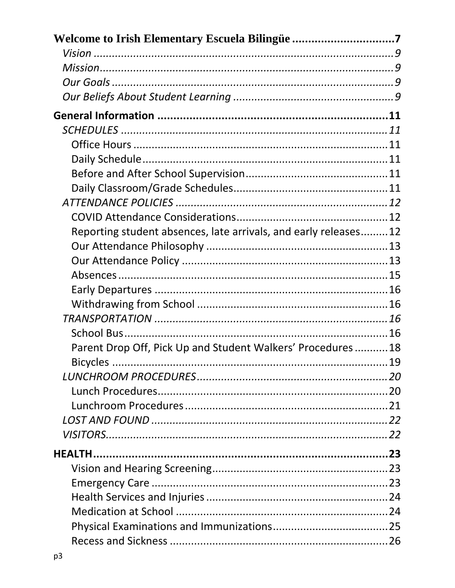| Reporting student absences, late arrivals, and early releases12 |  |
|-----------------------------------------------------------------|--|
|                                                                 |  |
|                                                                 |  |
|                                                                 |  |
|                                                                 |  |
|                                                                 |  |
|                                                                 |  |
|                                                                 |  |
| Parent Drop Off, Pick Up and Student Walkers' Procedures 18     |  |
|                                                                 |  |
|                                                                 |  |
|                                                                 |  |
|                                                                 |  |
|                                                                 |  |
|                                                                 |  |
|                                                                 |  |
|                                                                 |  |
|                                                                 |  |
|                                                                 |  |
|                                                                 |  |
|                                                                 |  |
|                                                                 |  |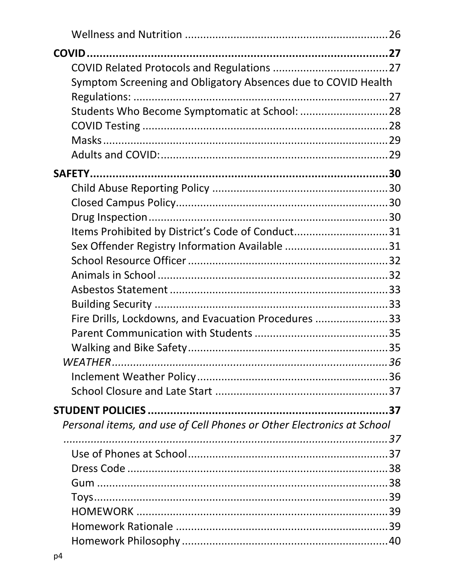| Symptom Screening and Obligatory Absences due to COVID Health         |  |
|-----------------------------------------------------------------------|--|
|                                                                       |  |
|                                                                       |  |
|                                                                       |  |
|                                                                       |  |
|                                                                       |  |
|                                                                       |  |
|                                                                       |  |
|                                                                       |  |
|                                                                       |  |
| Items Prohibited by District's Code of Conduct31                      |  |
| Sex Offender Registry Information Available 31                        |  |
|                                                                       |  |
|                                                                       |  |
|                                                                       |  |
|                                                                       |  |
| Fire Drills, Lockdowns, and Evacuation Procedures 33                  |  |
|                                                                       |  |
|                                                                       |  |
|                                                                       |  |
|                                                                       |  |
|                                                                       |  |
|                                                                       |  |
| Personal items, and use of Cell Phones or Other Electronics at School |  |
|                                                                       |  |
|                                                                       |  |
|                                                                       |  |
|                                                                       |  |
|                                                                       |  |
|                                                                       |  |
|                                                                       |  |
|                                                                       |  |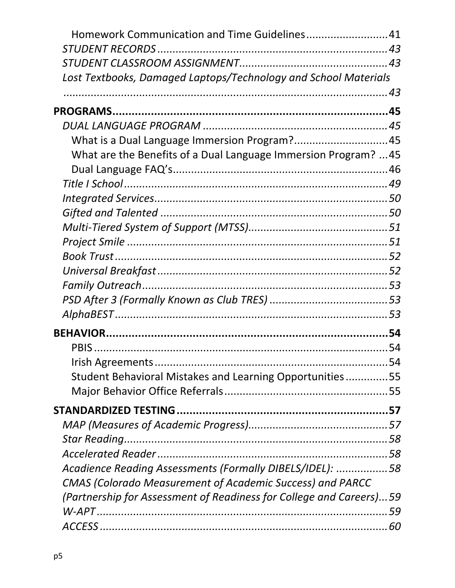| Homework Communication and Time Guidelines41                        |  |
|---------------------------------------------------------------------|--|
|                                                                     |  |
|                                                                     |  |
| Lost Textbooks, Damaged Laptops/Technology and School Materials     |  |
|                                                                     |  |
|                                                                     |  |
|                                                                     |  |
| What is a Dual Language Immersion Program?45                        |  |
| What are the Benefits of a Dual Language Immersion Program?  45     |  |
|                                                                     |  |
|                                                                     |  |
|                                                                     |  |
|                                                                     |  |
|                                                                     |  |
|                                                                     |  |
|                                                                     |  |
|                                                                     |  |
|                                                                     |  |
|                                                                     |  |
|                                                                     |  |
|                                                                     |  |
|                                                                     |  |
|                                                                     |  |
| Student Behavioral Mistakes and Learning Opportunities55            |  |
|                                                                     |  |
|                                                                     |  |
|                                                                     |  |
|                                                                     |  |
|                                                                     |  |
| Acadience Reading Assessments (Formally DIBELS/IDEL): 58            |  |
| <b>CMAS (Colorado Measurement of Academic Success) and PARCC</b>    |  |
| (Partnership for Assessment of Readiness for College and Careers)59 |  |
|                                                                     |  |
|                                                                     |  |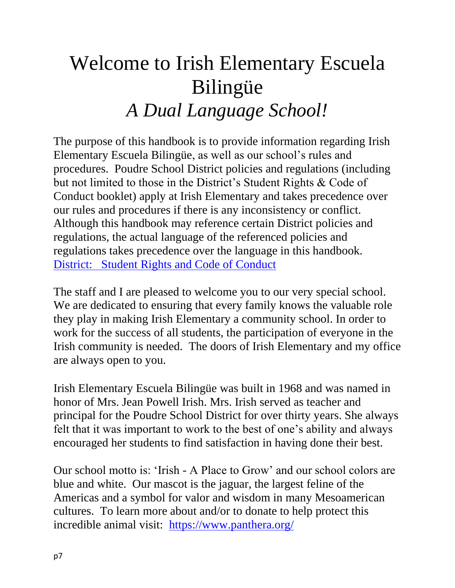## <span id="page-6-0"></span>Welcome to Irish Elementary Escuela Bilingüe *A Dual Language School!*

The purpose of this handbook is to provide information regarding Irish Elementary Escuela Bilingüe, as well as our school's rules and procedures. Poudre School District policies and regulations (including but not limited to those in the District's Student Rights & Code of Conduct booklet) apply at Irish Elementary and takes precedence over our rules and procedures if there is any inconsistency or conflict. Although this handbook may reference certain District policies and regulations, the actual language of the referenced policies and regulations takes precedence over the language in this handbook. [District: Student Rights and Code of Conduct](https://www.psdschools.org/sites/default/files/PSD/school_services/Student%20Rights%20and%20Code%20of%20Conduct/SRCC_2021-22_eng-FINAL.pdf)

The staff and I are pleased to welcome you to our very special school. We are dedicated to ensuring that every family knows the valuable role they play in making Irish Elementary a community school. In order to work for the success of all students, the participation of everyone in the Irish community is needed. The doors of Irish Elementary and my office are always open to you.

Irish Elementary Escuela Bilingüe was built in 1968 and was named in honor of Mrs. Jean Powell Irish. Mrs. Irish served as teacher and principal for the Poudre School District for over thirty years. She always felt that it was important to work to the best of one's ability and always encouraged her students to find satisfaction in having done their best.

Our school motto is: 'Irish - A Place to Grow' and our school colors are blue and white. Our mascot is the jaguar, the largest feline of the Americas and a symbol for valor and wisdom in many Mesoamerican cultures. To learn more about and/or to donate to help protect this incredible animal visit: <https://www.panthera.org/>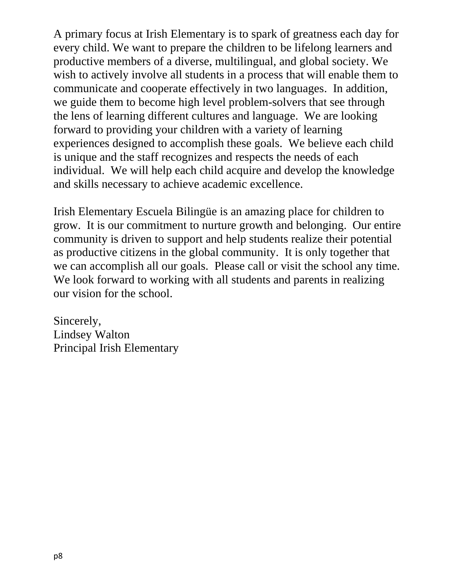A primary focus at Irish Elementary is to spark of greatness each day for every child. We want to prepare the children to be lifelong learners and productive members of a diverse, multilingual, and global society. We wish to actively involve all students in a process that will enable them to communicate and cooperate effectively in two languages. In addition, we guide them to become high level problem-solvers that see through the lens of learning different cultures and language. We are looking forward to providing your children with a variety of learning experiences designed to accomplish these goals. We believe each child is unique and the staff recognizes and respects the needs of each individual. We will help each child acquire and develop the knowledge and skills necessary to achieve academic excellence.

Irish Elementary Escuela Bilingüe is an amazing place for children to grow. It is our commitment to nurture growth and belonging. Our entire community is driven to support and help students realize their potential as productive citizens in the global community. It is only together that we can accomplish all our goals. Please call or visit the school any time. We look forward to working with all students and parents in realizing our vision for the school.

Sincerely, Lindsey Walton Principal Irish Elementary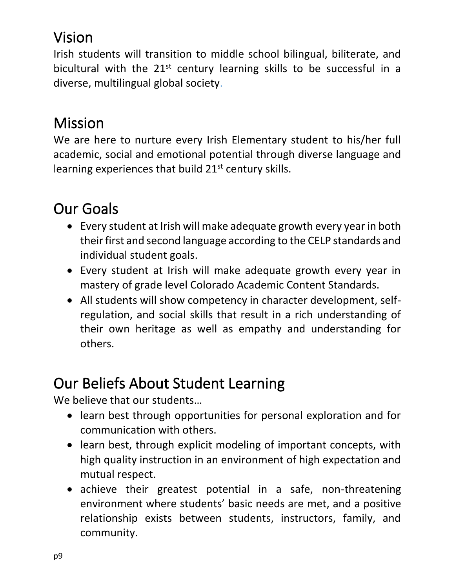## <span id="page-8-0"></span>Vision

Irish students will transition to middle school bilingual, biliterate, and bicultural with the 21<sup>st</sup> century learning skills to be successful in a diverse, multilingual global society.

## <span id="page-8-1"></span>Mission

We are here to nurture every Irish Elementary student to his/her full academic, social and emotional potential through diverse language and learning experiences that build 21<sup>st</sup> century skills.

## <span id="page-8-2"></span>Our Goals

- Every student at Irish will make adequate growth every year in both their first and second language according to the CELP standards and individual student goals.
- Every student at Irish will make adequate growth every year in mastery of grade level Colorado Academic Content Standards.
- All students will show competency in character development, selfregulation, and social skills that result in a rich understanding of their own heritage as well as empathy and understanding for others.

## <span id="page-8-3"></span>Our Beliefs About Student Learning

We believe that our students...

- learn best through opportunities for personal exploration and for communication with others.
- learn best, through explicit modeling of important concepts, with high quality instruction in an environment of high expectation and mutual respect.
- achieve their greatest potential in a safe, non-threatening environment where students' basic needs are met, and a positive relationship exists between students, instructors, family, and community.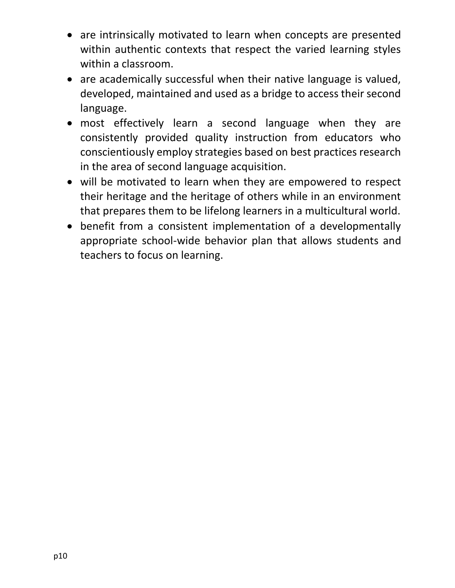- are intrinsically motivated to learn when concepts are presented within authentic contexts that respect the varied learning styles within a classroom.
- are academically successful when their native language is valued, developed, maintained and used as a bridge to access their second language.
- most effectively learn a second language when they are consistently provided quality instruction from educators who conscientiously employ strategies based on best practices research in the area of second language acquisition.
- will be motivated to learn when they are empowered to respect their heritage and the heritage of others while in an environment that prepares them to be lifelong learners in a multicultural world.
- benefit from a consistent implementation of a developmentally appropriate school-wide behavior plan that allows students and teachers to focus on learning.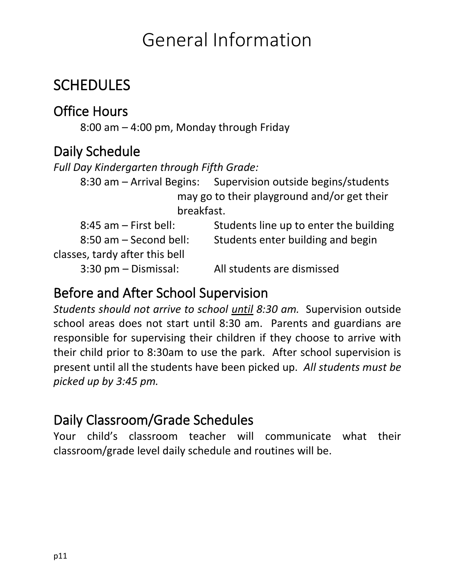## General Information

### <span id="page-10-1"></span><span id="page-10-0"></span>**SCHEDULES**

#### <span id="page-10-2"></span>Office Hours

8:00 am – 4:00 pm, Monday through Friday

#### <span id="page-10-3"></span>Daily Schedule

*Full Day Kindergarten through Fifth Grade:* 

8:30 am – Arrival Begins: Supervision outside begins/students may go to their playground and/or get their breakfast.

| $8:45$ am $-$ First bell:      | Students line up to enter the building |
|--------------------------------|----------------------------------------|
| $8:50$ am $-$ Second bell:     | Students enter building and begin      |
| classes, tardy after this bell |                                        |
| $3:30$ pm $-$ Dismissal:       | All students are dismissed             |

#### <span id="page-10-4"></span>Before and After School Supervision

*Students should not arrive to school until 8:30 am.* Supervision outside school areas does not start until 8:30 am. Parents and guardians are responsible for supervising their children if they choose to arrive with their child prior to 8:30am to use the park. After school supervision is present until all the students have been picked up. *All students must be picked up by 3:45 pm.*

#### <span id="page-10-5"></span>Daily Classroom/Grade Schedules

Your child's classroom teacher will communicate what their classroom/grade level daily schedule and routines will be.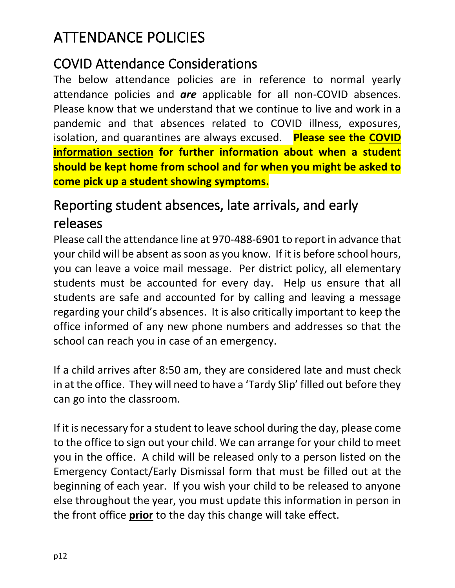## <span id="page-11-0"></span>ATTENDANCE POLICIES

#### <span id="page-11-1"></span>COVID Attendance Considerations

The below attendance policies are in reference to normal yearly attendance policies and *are* applicable for all non-COVID absences. Please know that we understand that we continue to live and work in a pandemic and that absences related to COVID illness, exposures, isolation, and quarantines are always excused. **Please see the COVID information section for further information about when a student should be kept home from school and for when you might be asked to come pick up a student showing symptoms.**

#### <span id="page-11-2"></span>Reporting student absences, late arrivals, and early releases

Please call the attendance line at 970-488-6901 to report in advance that your child will be absent as soon as you know. If it is before school hours, you can leave a voice mail message. Per district policy, all elementary students must be accounted for every day. Help us ensure that all students are safe and accounted for by calling and leaving a message regarding your child's absences. It is also critically important to keep the office informed of any new phone numbers and addresses so that the school can reach you in case of an emergency.

If a child arrives after 8:50 am, they are considered late and must check in at the office. They will need to have a 'Tardy Slip' filled out before they can go into the classroom.

If it is necessary for a student to leave school during the day, please come to the office to sign out your child. We can arrange for your child to meet you in the office. A child will be released only to a person listed on the Emergency Contact/Early Dismissal form that must be filled out at the beginning of each year. If you wish your child to be released to anyone else throughout the year, you must update this information in person in the front office **prior** to the day this change will take effect.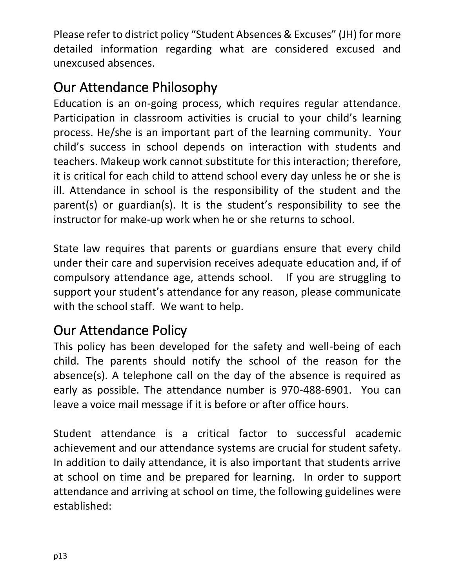Please refer to district policy "Student Absences & Excuses" (JH) for more detailed information regarding what are considered excused and unexcused absences.

#### <span id="page-12-0"></span>Our Attendance Philosophy

Education is an on-going process, which requires regular attendance. Participation in classroom activities is crucial to your child's learning process. He/she is an important part of the learning community. Your child's success in school depends on interaction with students and teachers. Makeup work cannot substitute for this interaction; therefore, it is critical for each child to attend school every day unless he or she is ill. Attendance in school is the responsibility of the student and the parent(s) or guardian(s). It is the student's responsibility to see the instructor for make-up work when he or she returns to school.

State law requires that parents or guardians ensure that every child under their care and supervision receives adequate education and, if of compulsory attendance age, attends school. If you are struggling to support your student's attendance for any reason, please communicate with the school staff. We want to help.

#### <span id="page-12-1"></span>Our Attendance Policy

This policy has been developed for the safety and well-being of each child. The parents should notify the school of the reason for the absence(s). A telephone call on the day of the absence is required as early as possible. The attendance number is 970-488-6901. You can leave a voice mail message if it is before or after office hours.

Student attendance is a critical factor to successful academic achievement and our attendance systems are crucial for student safety. In addition to daily attendance, it is also important that students arrive at school on time and be prepared for learning. In order to support attendance and arriving at school on time, the following guidelines were established: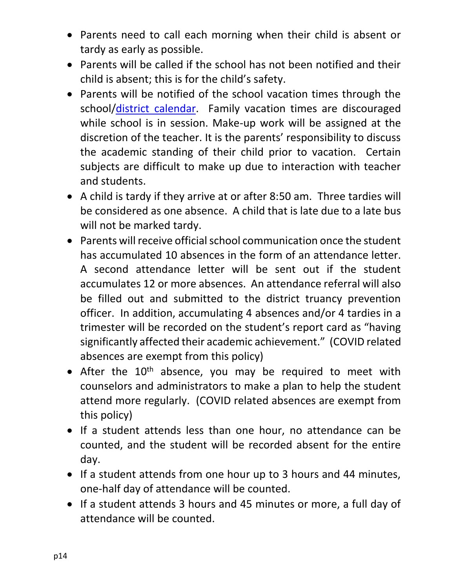- Parents need to call each morning when their child is absent or tardy as early as possible.
- Parents will be called if the school has not been notified and their child is absent; this is for the child's safety.
- Parents will be notified of the school vacation times through the school/district [calendar.](https://www.psdschools.org/your-district/calendars) Family vacation times are discouraged while school is in session. Make-up work will be assigned at the discretion of the teacher. It is the parents' responsibility to discuss the academic standing of their child prior to vacation. Certain subjects are difficult to make up due to interaction with teacher and students.
- A child is tardy if they arrive at or after 8:50 am. Three tardies will be considered as one absence. A child that is late due to a late bus will not be marked tardy.
- Parents will receive official school communication once the student has accumulated 10 absences in the form of an attendance letter. A second attendance letter will be sent out if the student accumulates 12 or more absences. An attendance referral will also be filled out and submitted to the district truancy prevention officer. In addition, accumulating 4 absences and/or 4 tardies in a trimester will be recorded on the student's report card as "having significantly affected their academic achievement." (COVID related absences are exempt from this policy)
- After the 10<sup>th</sup> absence, you may be required to meet with counselors and administrators to make a plan to help the student attend more regularly. (COVID related absences are exempt from this policy)
- If a student attends less than one hour, no attendance can be counted, and the student will be recorded absent for the entire day.
- If a student attends from one hour up to 3 hours and 44 minutes, one-half day of attendance will be counted.
- If a student attends 3 hours and 45 minutes or more, a full day of attendance will be counted.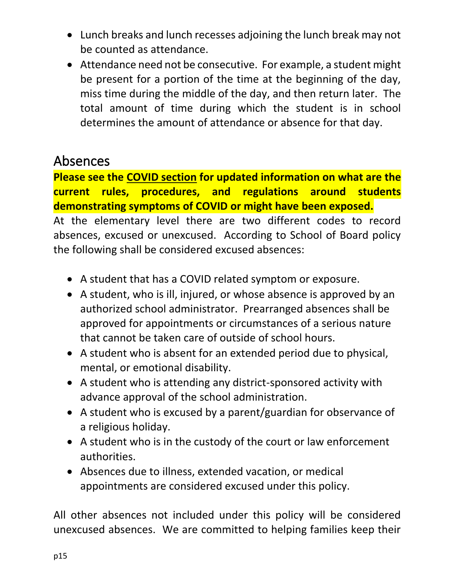- Lunch breaks and lunch recesses adjoining the lunch break may not be counted as attendance.
- Attendance need not be consecutive. For example, a student might be present for a portion of the time at the beginning of the day, miss time during the middle of the day, and then return later. The total amount of time during which the student is in school determines the amount of attendance or absence for that day.

#### <span id="page-14-0"></span>Absences

**Please see the COVID section for updated information on what are the current rules, procedures, and regulations around students demonstrating symptoms of COVID or might have been exposed.** 

At the elementary level there are two different codes to record absences, excused or unexcused. According to School of Board policy the following shall be considered excused absences:

- A student that has a COVID related symptom or exposure.
- A student, who is ill, injured, or whose absence is approved by an authorized school administrator. Prearranged absences shall be approved for appointments or circumstances of a serious nature that cannot be taken care of outside of school hours.
- A student who is absent for an extended period due to physical, mental, or emotional disability.
- A student who is attending any district-sponsored activity with advance approval of the school administration.
- A student who is excused by a parent/guardian for observance of a religious holiday.
- A student who is in the custody of the court or law enforcement authorities.
- Absences due to illness, extended vacation, or medical appointments are considered excused under this policy.

All other absences not included under this policy will be considered unexcused absences. We are committed to helping families keep their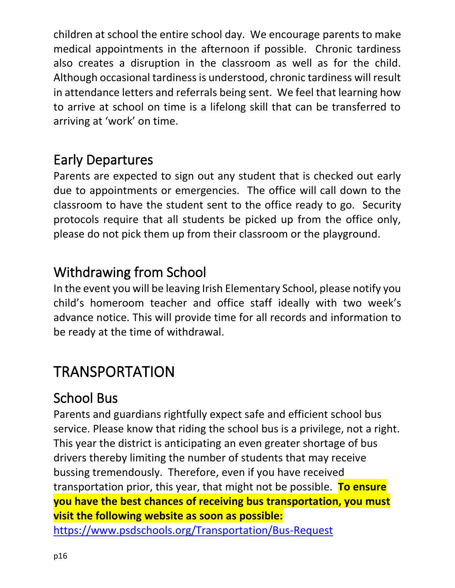children at school the entire school day. We encourage parents to make medical appointments in the afternoon if possible. Chronic tardiness also creates a disruption in the classroom as well as for the child. Although occasional tardiness is understood, chronic tardiness will result in attendance letters and referrals being sent. We feel that learning how to arrive at school on time is a lifelong skill that can be transferred to arriving at 'work' on time.

#### <span id="page-15-0"></span>Early Departures

Parents are expected to sign out any student that is checked out early due to appointments or emergencies. The office will call down to the classroom to have the student sent to the office ready to go. Security protocols require that all students be picked up from the office only, please do not pick them up from their classroom or the playground.

#### <span id="page-15-1"></span>Withdrawing from School

In the event you will be leaving Irish Elementary School, please notify you child's homeroom teacher and office staff ideally with two week's advance notice. This will provide time for all records and information to be ready at the time of withdrawal.

### <span id="page-15-2"></span>**TRANSPORTATION**

#### <span id="page-15-3"></span>School Bus

Parents and guardians rightfully expect safe and efficient school bus service. Please know that riding the school bus is a privilege, not a right. This year the district is anticipating an even greater shortage of bus drivers thereby limiting the number of students that may receive bussing tremendously. Therefore, even if you have received transportation prior, this year, that might not be possible. **To ensure you have the best chances of receiving bus transportation, you must visit the following website as soon as possible:** 

<https://www.psdschools.org/Transportation/Bus-Request>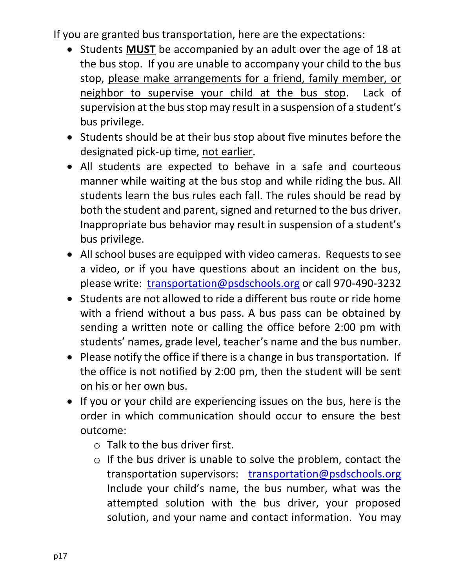If you are granted bus transportation, here are the expectations:

- Students **MUST** be accompanied by an adult over the age of 18 at the bus stop. If you are unable to accompany your child to the bus stop, please make arrangements for a friend, family member, or neighbor to supervise your child at the bus stop. Lack of supervision at the bus stop may result in a suspension of a student's bus privilege.
- Students should be at their bus stop about five minutes before the designated pick-up time, not earlier.
- All students are expected to behave in a safe and courteous manner while waiting at the bus stop and while riding the bus. All students learn the bus rules each fall. The rules should be read by both the student and parent, signed and returned to the bus driver. Inappropriate bus behavior may result in suspension of a student's bus privilege.
- All school buses are equipped with video cameras. Requests to see a video, or if you have questions about an incident on the bus, please write: [transportation@psdschools.org](mailto:transportation@psdschools.org) or call 970-490-3232
- Students are not allowed to ride a different bus route or ride home with a friend without a bus pass. A bus pass can be obtained by sending a written note or calling the office before 2:00 pm with students' names, grade level, teacher's name and the bus number.
- Please notify the office if there is a change in bus transportation. If the office is not notified by 2:00 pm, then the student will be sent on his or her own bus.
- If you or your child are experiencing issues on the bus, here is the order in which communication should occur to ensure the best outcome:
	- $\circ$  Talk to the bus driver first.
	- o If the bus driver is unable to solve the problem, contact the transportation supervisors: transportation@psdschools.org Include your child's name, the bus number, what was the attempted solution with the bus driver, your proposed solution, and your name and contact information. You may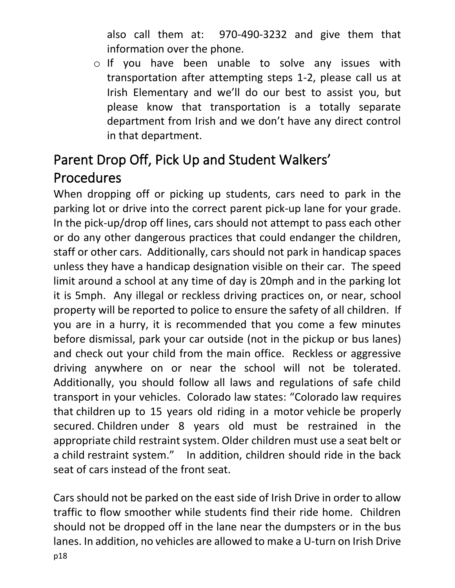also call them at: 970-490-3232 and give them that information over the phone.

o If you have been unable to solve any issues with transportation after attempting steps 1-2, please call us at Irish Elementary and we'll do our best to assist you, but please know that transportation is a totally separate department from Irish and we don't have any direct control in that department.

## <span id="page-17-0"></span>Parent Drop Off, Pick Up and Student Walkers' Procedures

When dropping off or picking up students, cars need to park in the parking lot or drive into the correct parent pick-up lane for your grade. In the pick-up/drop off lines, cars should not attempt to pass each other or do any other dangerous practices that could endanger the children, staff or other cars. Additionally, cars should not park in handicap spaces unless they have a handicap designation visible on their car. The speed limit around a school at any time of day is 20mph and in the parking lot it is 5mph. Any illegal or reckless driving practices on, or near, school property will be reported to police to ensure the safety of all children. If you are in a hurry, it is recommended that you come a few minutes before dismissal, park your car outside (not in the pickup or bus lanes) and check out your child from the main office. Reckless or aggressive driving anywhere on or near the school will not be tolerated. Additionally, you should follow all laws and regulations of safe child transport in your vehicles. Colorado law states: "Colorado law requires that children up to 15 years old riding in a motor vehicle be properly secured. Children under 8 years old must be restrained in the appropriate child restraint system. Older children must use a seat belt or a child restraint system." In addition, children should ride in the back seat of cars instead of the front seat.

p18 Cars should not be parked on the east side of Irish Drive in order to allow traffic to flow smoother while students find their ride home. Children should not be dropped off in the lane near the dumpsters or in the bus lanes. In addition, no vehicles are allowed to make a U-turn on Irish Drive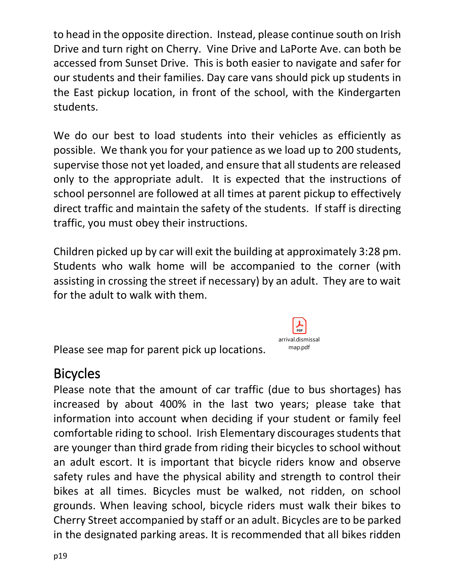to head in the opposite direction. Instead, please continue south on Irish Drive and turn right on Cherry. Vine Drive and LaPorte Ave. can both be accessed from Sunset Drive. This is both easier to navigate and safer for our students and their families. Day care vans should pick up students in the East pickup location, in front of the school, with the Kindergarten students.

We do our best to load students into their vehicles as efficiently as possible. We thank you for your patience as we load up to 200 students, supervise those not yet loaded, and ensure that all students are released only to the appropriate adult. It is expected that the instructions of school personnel are followed at all times at parent pickup to effectively direct traffic and maintain the safety of the students. If staff is directing traffic, you must obey their instructions.

Children picked up by car will exit the building at approximately 3:28 pm. Students who walk home will be accompanied to the corner (with assisting in crossing the street if necessary) by an adult. They are to wait for the adult to walk with them.

Please see map for parent pick up locations.

#### <span id="page-18-0"></span>Bicycles

Please note that the amount of car traffic (due to bus shortages) has increased by about 400% in the last two years; please take that information into account when deciding if your student or family feel comfortable riding to school. Irish Elementary discourages students that are younger than third grade from riding their bicycles to school without an adult escort. It is important that bicycle riders know and observe safety rules and have the physical ability and strength to control their bikes at all times. Bicycles must be walked, not ridden, on school grounds. When leaving school, bicycle riders must walk their bikes to Cherry Street accompanied by staff or an adult. Bicycles are to be parked in the designated parking areas. It is recommended that all bikes ridden

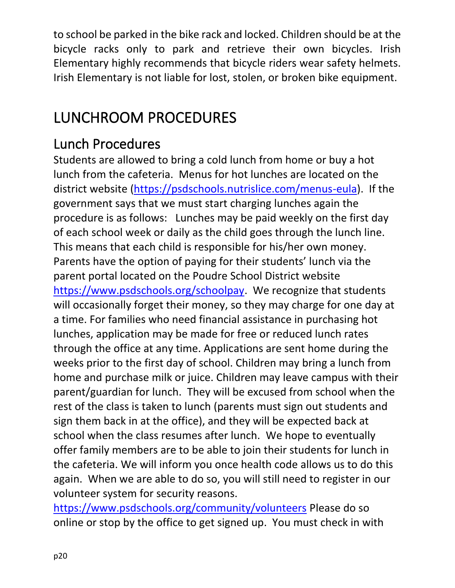to school be parked in the bike rack and locked. Children should be at the bicycle racks only to park and retrieve their own bicycles. Irish Elementary highly recommends that bicycle riders wear safety helmets. Irish Elementary is not liable for lost, stolen, or broken bike equipment.

## <span id="page-19-0"></span>LUNCHROOM PROCEDURES

#### <span id="page-19-1"></span>Lunch Procedures

Students are allowed to bring a cold lunch from home or buy a hot lunch from the cafeteria. Menus for hot lunches are located on the district website [\(https://psdschools.nutrislice.com/menus-eula\)](https://psdschools.nutrislice.com/menus-eula). If the government says that we must start charging lunches again the procedure is as follows: Lunches may be paid weekly on the first day of each school week or daily as the child goes through the lunch line. This means that each child is responsible for his/her own money. Parents have the option of paying for their students' lunch via the parent portal located on the Poudre School District website [https://www.psdschools.org/schoolpay.](https://www.psdschools.org/schoolpay) We recognize that students will occasionally forget their money, so they may charge for one day at a time. For families who need financial assistance in purchasing hot lunches, application may be made for free or reduced lunch rates through the office at any time. Applications are sent home during the weeks prior to the first day of school. Children may bring a lunch from home and purchase milk or juice. Children may leave campus with their parent/guardian for lunch. They will be excused from school when the rest of the class is taken to lunch (parents must sign out students and sign them back in at the office), and they will be expected back at school when the class resumes after lunch. We hope to eventually offer family members are to be able to join their students for lunch in the cafeteria. We will inform you once health code allows us to do this again. When we are able to do so, you will still need to register in our volunteer system for security reasons.

<https://www.psdschools.org/community/volunteers> Please do so online or stop by the office to get signed up. You must check in with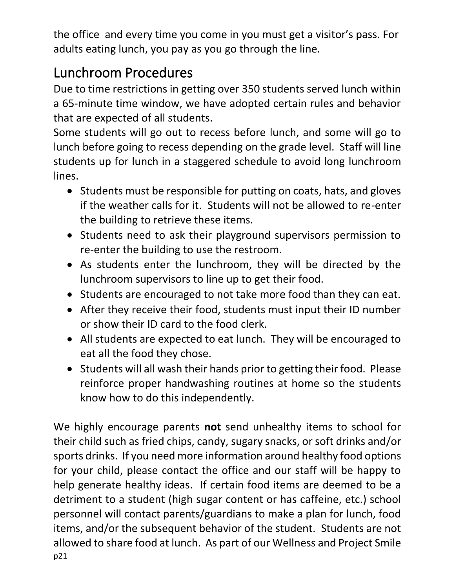the office and every time you come in you must get a visitor's pass. For adults eating lunch, you pay as you go through the line.

### <span id="page-20-0"></span>Lunchroom Procedures

Due to time restrictions in getting over 350 students served lunch within a 65-minute time window, we have adopted certain rules and behavior that are expected of all students.

Some students will go out to recess before lunch, and some will go to lunch before going to recess depending on the grade level. Staff will line students up for lunch in a staggered schedule to avoid long lunchroom lines.

- Students must be responsible for putting on coats, hats, and gloves if the weather calls for it. Students will not be allowed to re-enter the building to retrieve these items.
- Students need to ask their playground supervisors permission to re-enter the building to use the restroom.
- As students enter the lunchroom, they will be directed by the lunchroom supervisors to line up to get their food.
- Students are encouraged to not take more food than they can eat.
- After they receive their food, students must input their ID number or show their ID card to the food clerk.
- All students are expected to eat lunch. They will be encouraged to eat all the food they chose.
- Students will all wash their hands prior to getting their food. Please reinforce proper handwashing routines at home so the students know how to do this independently.

p21 We highly encourage parents **not** send unhealthy items to school for their child such as fried chips, candy, sugary snacks, or soft drinks and/or sports drinks. If you need more information around healthy food options for your child, please contact the office and our staff will be happy to help generate healthy ideas. If certain food items are deemed to be a detriment to a student (high sugar content or has caffeine, etc.) school personnel will contact parents/guardians to make a plan for lunch, food items, and/or the subsequent behavior of the student. Students are not allowed to share food at lunch. As part of our Wellness and Project Smile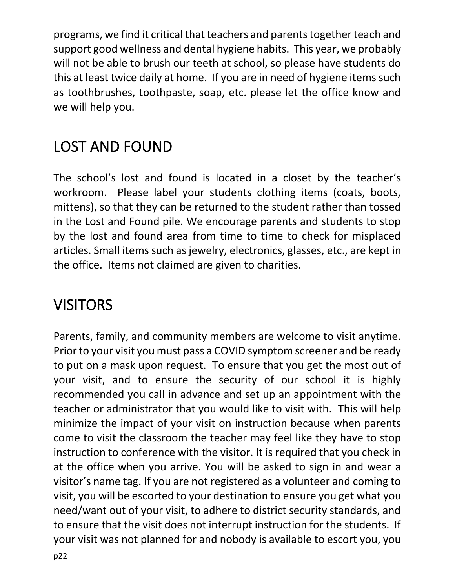programs, we find it critical that teachers and parents together teach and support good wellness and dental hygiene habits. This year, we probably will not be able to brush our teeth at school, so please have students do this at least twice daily at home. If you are in need of hygiene items such as toothbrushes, toothpaste, soap, etc. please let the office know and we will help you.

## <span id="page-21-0"></span>LOST AND FOUND

The school's lost and found is located in a closet by the teacher's workroom. Please label your students clothing items (coats, boots, mittens), so that they can be returned to the student rather than tossed in the Lost and Found pile. We encourage parents and students to stop by the lost and found area from time to time to check for misplaced articles. Small items such as jewelry, electronics, glasses, etc., are kept in the office. Items not claimed are given to charities.

### <span id="page-21-1"></span>**VISITORS**

Parents, family, and community members are welcome to visit anytime. Prior to your visit you must pass a COVID symptom screener and be ready to put on a mask upon request. To ensure that you get the most out of your visit, and to ensure the security of our school it is highly recommended you call in advance and set up an appointment with the teacher or administrator that you would like to visit with. This will help minimize the impact of your visit on instruction because when parents come to visit the classroom the teacher may feel like they have to stop instruction to conference with the visitor. It is required that you check in at the office when you arrive. You will be asked to sign in and wear a visitor's name tag. If you are not registered as a volunteer and coming to visit, you will be escorted to your destination to ensure you get what you need/want out of your visit, to adhere to district security standards, and to ensure that the visit does not interrupt instruction for the students. If your visit was not planned for and nobody is available to escort you, you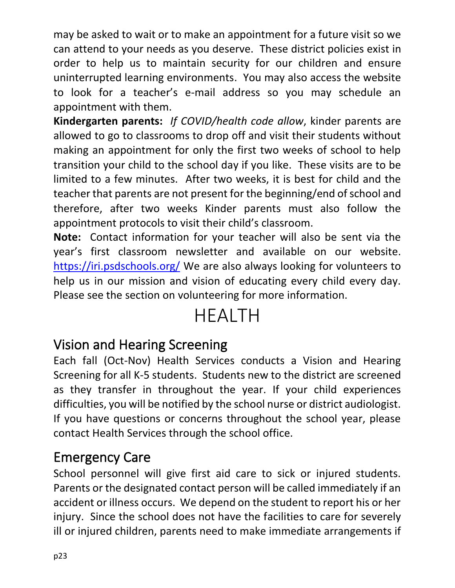may be asked to wait or to make an appointment for a future visit so we can attend to your needs as you deserve. These district policies exist in order to help us to maintain security for our children and ensure uninterrupted learning environments. You may also access the website to look for a teacher's e-mail address so you may schedule an appointment with them.

**Kindergarten parents:** *If COVID/health code allow*, kinder parents are allowed to go to classrooms to drop off and visit their students without making an appointment for only the first two weeks of school to help transition your child to the school day if you like. These visits are to be limited to a few minutes. After two weeks, it is best for child and the teacher that parents are not present for the beginning/end of school and therefore, after two weeks Kinder parents must also follow the appointment protocols to visit their child's classroom.

**Note:** Contact information for your teacher will also be sent via the year's first classroom newsletter and available on our website. <https://iri.psdschools.org/> We are also always looking for volunteers to help us in our mission and vision of educating every child every day. Please see the section on volunteering for more information.

## HEALTH

#### <span id="page-22-1"></span><span id="page-22-0"></span>Vision and Hearing Screening

Each fall (Oct-Nov) Health Services conducts a Vision and Hearing Screening for all K-5 students. Students new to the district are screened as they transfer in throughout the year. If your child experiences difficulties, you will be notified by the school nurse or district audiologist. If you have questions or concerns throughout the school year, please contact Health Services through the school office.

#### <span id="page-22-2"></span>Emergency Care

School personnel will give first aid care to sick or injured students. Parents or the designated contact person will be called immediately if an accident or illness occurs. We depend on the student to report his or her injury. Since the school does not have the facilities to care for severely ill or injured children, parents need to make immediate arrangements if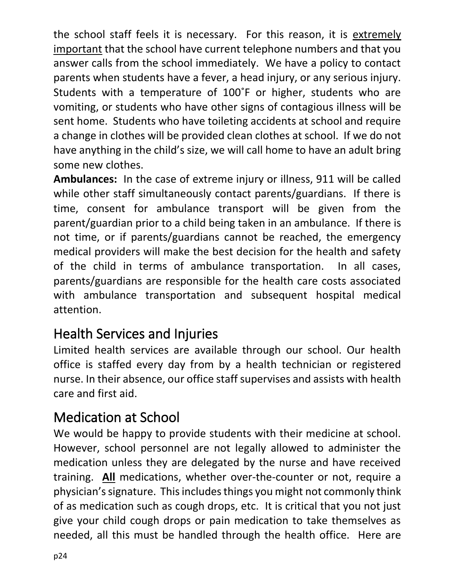the school staff feels it is necessary. For this reason, it is extremely important that the school have current telephone numbers and that you answer calls from the school immediately. We have a policy to contact parents when students have a fever, a head injury, or any serious injury. Students with a temperature of 100˚F or higher, students who are vomiting, or students who have other signs of contagious illness will be sent home. Students who have toileting accidents at school and require a change in clothes will be provided clean clothes at school. If we do not have anything in the child's size, we will call home to have an adult bring some new clothes.

**Ambulances:** In the case of extreme injury or illness, 911 will be called while other staff simultaneously contact parents/guardians. If there is time, consent for ambulance transport will be given from the parent/guardian prior to a child being taken in an ambulance. If there is not time, or if parents/guardians cannot be reached, the emergency medical providers will make the best decision for the health and safety of the child in terms of ambulance transportation. In all cases, parents/guardians are responsible for the health care costs associated with ambulance transportation and subsequent hospital medical attention.

#### <span id="page-23-0"></span>Health Services and Injuries

Limited health services are available through our school. Our health office is staffed every day from by a health technician or registered nurse. In their absence, our office staff supervises and assists with health care and first aid.

#### <span id="page-23-1"></span>Medication at School

We would be happy to provide students with their medicine at school. However, school personnel are not legally allowed to administer the medication unless they are delegated by the nurse and have received training. **All** medications, whether over-the-counter or not, require a physician's signature. This includes things you might not commonly think of as medication such as cough drops, etc. It is critical that you not just give your child cough drops or pain medication to take themselves as needed, all this must be handled through the health office. Here are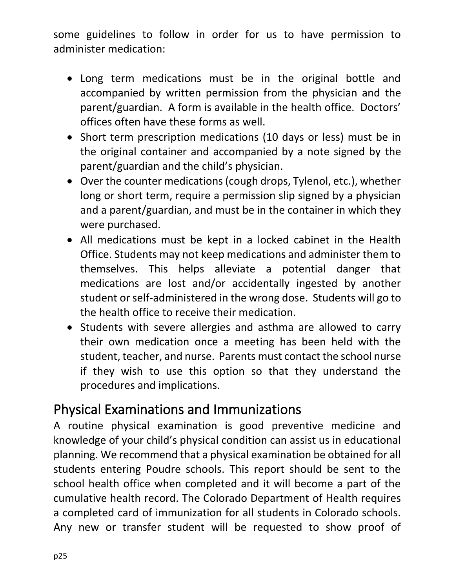some guidelines to follow in order for us to have permission to administer medication:

- Long term medications must be in the original bottle and accompanied by written permission from the physician and the parent/guardian. A form is available in the health office. Doctors' offices often have these forms as well.
- Short term prescription medications (10 days or less) must be in the original container and accompanied by a note signed by the parent/guardian and the child's physician.
- Over the counter medications (cough drops, Tylenol, etc.), whether long or short term, require a permission slip signed by a physician and a parent/guardian, and must be in the container in which they were purchased.
- All medications must be kept in a locked cabinet in the Health Office. Students may not keep medications and administer them to themselves. This helps alleviate a potential danger that medications are lost and/or accidentally ingested by another student or self-administered in the wrong dose. Students will go to the health office to receive their medication.
- Students with severe allergies and asthma are allowed to carry their own medication once a meeting has been held with the student, teacher, and nurse. Parents must contact the school nurse if they wish to use this option so that they understand the procedures and implications.

#### <span id="page-24-0"></span>Physical Examinations and Immunizations

A routine physical examination is good preventive medicine and knowledge of your child's physical condition can assist us in educational planning. We recommend that a physical examination be obtained for all students entering Poudre schools. This report should be sent to the school health office when completed and it will become a part of the cumulative health record. The Colorado Department of Health requires a completed card of immunization for all students in Colorado schools. Any new or transfer student will be requested to show proof of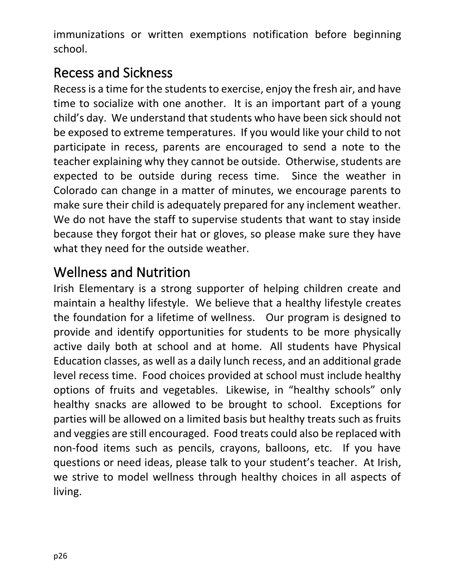immunizations or written exemptions notification before beginning school.

#### <span id="page-25-0"></span>Recess and Sickness

Recess is a time for the students to exercise, enjoy the fresh air, and have time to socialize with one another. It is an important part of a young child's day. We understand that students who have been sick should not be exposed to extreme temperatures. If you would like your child to not participate in recess, parents are encouraged to send a note to the teacher explaining why they cannot be outside. Otherwise, students are expected to be outside during recess time. Since the weather in Colorado can change in a matter of minutes, we encourage parents to make sure their child is adequately prepared for any inclement weather. We do not have the staff to supervise students that want to stay inside because they forgot their hat or gloves, so please make sure they have what they need for the outside weather.

#### <span id="page-25-1"></span>Wellness and Nutrition

Irish Elementary is a strong supporter of helping children create and maintain a healthy lifestyle. We believe that a healthy lifestyle creates the foundation for a lifetime of wellness. Our program is designed to provide and identify opportunities for students to be more physically active daily both at school and at home. All students have Physical Education classes, as well as a daily lunch recess, and an additional grade level recess time. Food choices provided at school must include healthy options of fruits and vegetables. Likewise, in "healthy schools" only healthy snacks are allowed to be brought to school. Exceptions for parties will be allowed on a limited basis but healthy treats such as fruits and veggies are still encouraged. Food treats could also be replaced with non-food items such as pencils, crayons, balloons, etc. If you have questions or need ideas, please talk to your student's teacher. At Irish, we strive to model wellness through healthy choices in all aspects of living.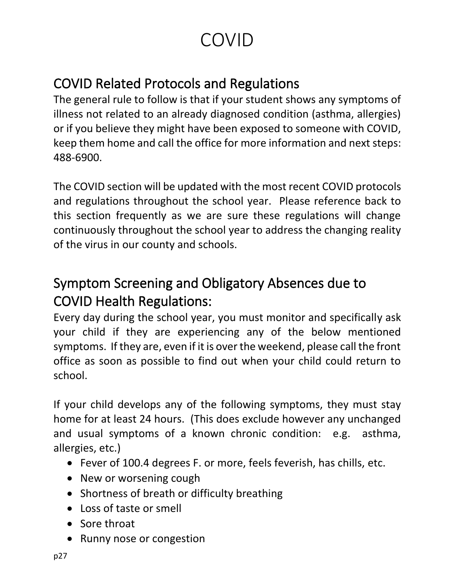## COVID

#### <span id="page-26-1"></span><span id="page-26-0"></span>COVID Related Protocols and Regulations

The general rule to follow is that if your student shows any symptoms of illness not related to an already diagnosed condition (asthma, allergies) or if you believe they might have been exposed to someone with COVID, keep them home and call the office for more information and next steps: 488-6900.

The COVID section will be updated with the most recent COVID protocols and regulations throughout the school year. Please reference back to this section frequently as we are sure these regulations will change continuously throughout the school year to address the changing reality of the virus in our county and schools.

#### <span id="page-26-2"></span>Symptom Screening and Obligatory Absences due to COVID Health Regulations:

Every day during the school year, you must monitor and specifically ask your child if they are experiencing any of the below mentioned symptoms. If they are, even if it is over the weekend, please call the front office as soon as possible to find out when your child could return to school.

If your child develops any of the following symptoms, they must stay home for at least 24 hours. (This does exclude however any unchanged and usual symptoms of a known chronic condition: e.g. asthma, allergies, etc.)

- Fever of 100.4 degrees F. or more, feels feverish, has chills, etc.
- New or worsening cough
- Shortness of breath or difficulty breathing
- Loss of taste or smell
- Sore throat
- Runny nose or congestion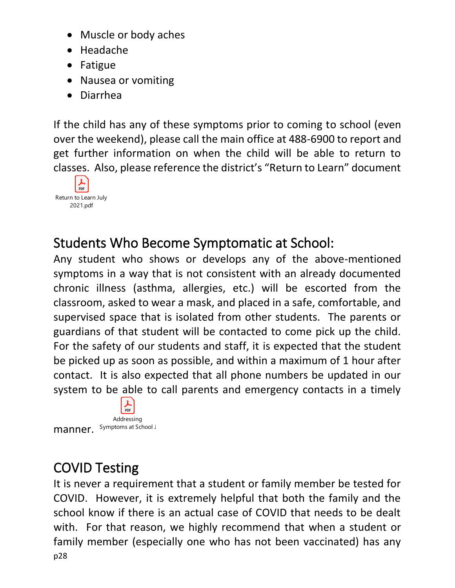- Muscle or body aches
- Headache
- Fatigue
- Nausea or vomiting
- Diarrhea

If the child has any of these symptoms prior to coming to school (even over the weekend), please call the main office at 488-6900 to report and get further information on when the child will be able to return to classes. Also, please reference the district's "Return to Learn" document



#### <span id="page-27-0"></span>Students Who Become Symptomatic at School:

Any student who shows or develops any of the above-mentioned symptoms in a way that is not consistent with an already documented chronic illness (asthma, allergies, etc.) will be escorted from the classroom, asked to wear a mask, and placed in a safe, comfortable, and supervised space that is isolated from other students. The parents or guardians of that student will be contacted to come pick up the child. For the safety of our students and staff, it is expected that the student be picked up as soon as possible, and within a maximum of 1 hour after contact. It is also expected that all phone numbers be updated in our system to be able to call parents and emergency contacts in a timely

 $PDF$ Addressing  $manner.$  Symptoms at School J

#### <span id="page-27-1"></span>COVID Testing

p28 It is never a requirement that a student or family member be tested for COVID. However, it is extremely helpful that both the family and the school know if there is an actual case of COVID that needs to be dealt with. For that reason, we highly recommend that when a student or family member (especially one who has not been vaccinated) has any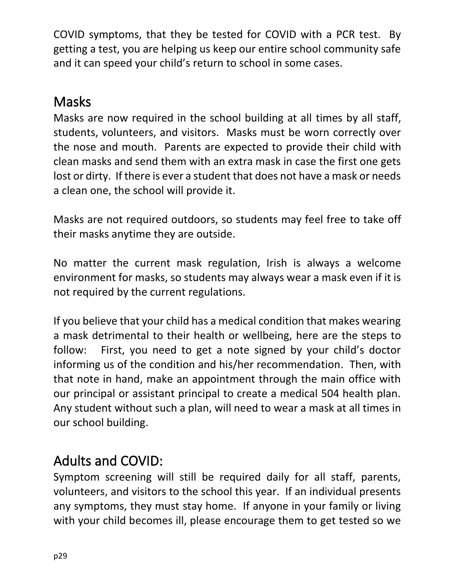COVID symptoms, that they be tested for COVID with a PCR test. By getting a test, you are helping us keep our entire school community safe and it can speed your child's return to school in some cases.

#### <span id="page-28-0"></span>**Masks**

Masks are now required in the school building at all times by all staff, students, volunteers, and visitors. Masks must be worn correctly over the nose and mouth. Parents are expected to provide their child with clean masks and send them with an extra mask in case the first one gets lost or dirty. If there is ever a student that does not have a mask or needs a clean one, the school will provide it.

Masks are not required outdoors, so students may feel free to take off their masks anytime they are outside.

No matter the current mask regulation, Irish is always a welcome environment for masks, so students may always wear a mask even if it is not required by the current regulations.

If you believe that your child has a medical condition that makes wearing a mask detrimental to their health or wellbeing, here are the steps to follow: First, you need to get a note signed by your child's doctor informing us of the condition and his/her recommendation. Then, with that note in hand, make an appointment through the main office with our principal or assistant principal to create a medical 504 health plan. Any student without such a plan, will need to wear a mask at all times in our school building.

#### <span id="page-28-1"></span>Adults and COVID:

Symptom screening will still be required daily for all staff, parents, volunteers, and visitors to the school this year. If an individual presents any symptoms, they must stay home. If anyone in your family or living with your child becomes ill, please encourage them to get tested so we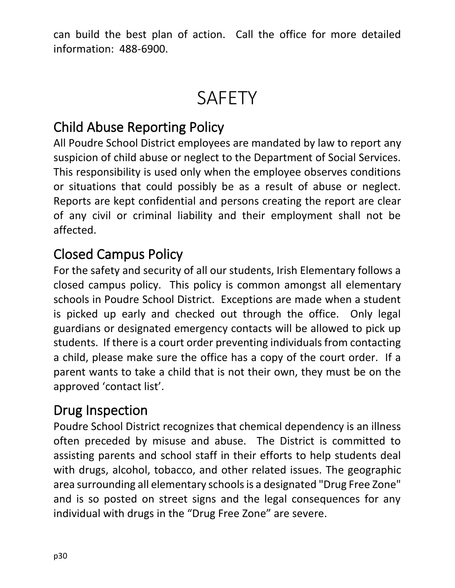can build the best plan of action. Call the office for more detailed information: 488-6900.

## **SAFETY**

#### <span id="page-29-1"></span><span id="page-29-0"></span>Child Abuse Reporting Policy

All Poudre School District employees are mandated by law to report any suspicion of child abuse or neglect to the Department of Social Services. This responsibility is used only when the employee observes conditions or situations that could possibly be as a result of abuse or neglect. Reports are kept confidential and persons creating the report are clear of any civil or criminal liability and their employment shall not be affected.

#### <span id="page-29-2"></span>Closed Campus Policy

For the safety and security of all our students, Irish Elementary follows a closed campus policy. This policy is common amongst all elementary schools in Poudre School District. Exceptions are made when a student is picked up early and checked out through the office. Only legal guardians or designated emergency contacts will be allowed to pick up students. If there is a court order preventing individuals from contacting a child, please make sure the office has a copy of the court order. If a parent wants to take a child that is not their own, they must be on the approved 'contact list'.

#### <span id="page-29-3"></span>Drug Inspection

Poudre School District recognizes that chemical dependency is an illness often preceded by misuse and abuse. The District is committed to assisting parents and school staff in their efforts to help students deal with drugs, alcohol, tobacco, and other related issues. The geographic area surrounding all elementary schools is a designated "Drug Free Zone" and is so posted on street signs and the legal consequences for any individual with drugs in the "Drug Free Zone" are severe.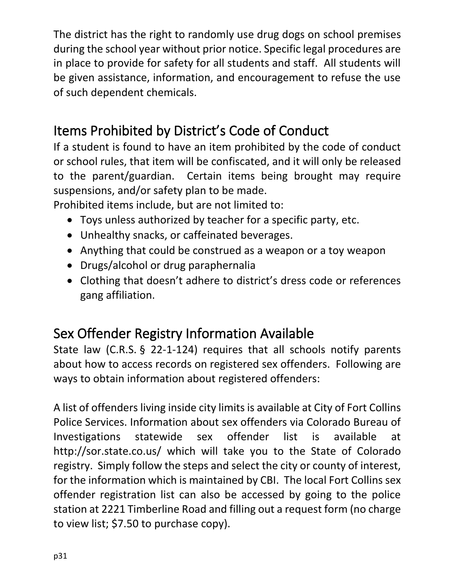The district has the right to randomly use drug dogs on school premises during the school year without prior notice. Specific legal procedures are in place to provide for safety for all students and staff. All students will be given assistance, information, and encouragement to refuse the use of such dependent chemicals.

#### <span id="page-30-0"></span>Items Prohibited by District's Code of Conduct

If a student is found to have an item prohibited by the code of conduct or school rules, that item will be confiscated, and it will only be released to the parent/guardian. Certain items being brought may require suspensions, and/or safety plan to be made.

Prohibited items include, but are not limited to:

- Toys unless authorized by teacher for a specific party, etc.
- Unhealthy snacks, or caffeinated beverages.
- Anything that could be construed as a weapon or a toy weapon
- Drugs/alcohol or drug paraphernalia
- Clothing that doesn't adhere to district's dress code or references gang affiliation.

#### <span id="page-30-1"></span>Sex Offender Registry Information Available

State law (C.R.S. § 22-1-124) requires that all schools notify parents about how to access records on registered sex offenders. Following are ways to obtain information about registered offenders:

A list of offenders living inside city limits is available at City of Fort Collins Police Services. Information about sex offenders via Colorado Bureau of Investigations statewide sex offender list is available at <http://sor.state.co.us/> which will take you to the State of Colorado registry. Simply follow the steps and select the city or county of interest, for the information which is maintained by CBI. The local Fort Collins sex offender registration list can also be accessed by going to the police station at 2221 Timberline Road and filling out a request form (no charge to view list; \$7.50 to purchase copy).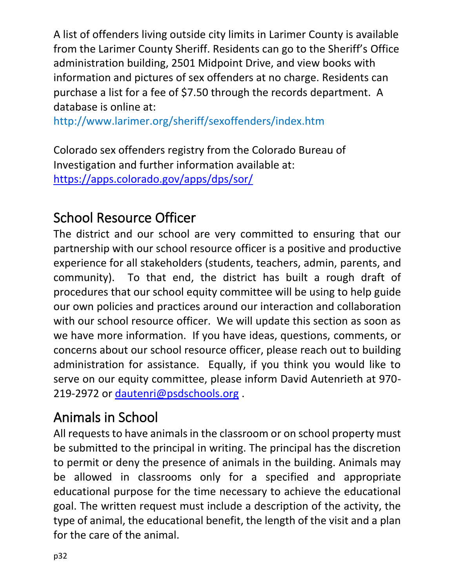A list of offenders living outside city limits in Larimer County is available from the Larimer County Sheriff. Residents can go to the Sheriff's Office administration building, 2501 Midpoint Drive, and view books with information and pictures of sex offenders at no charge. Residents can purchase a list for a fee of \$7.50 through the records department. A database is online at:

<http://www.larimer.org/sheriff/sexoffenders/index.htm>

Colorado sex offenders registry from the Colorado Bureau of Investigation and further information available at: <https://apps.colorado.gov/apps/dps/sor/>

#### <span id="page-31-0"></span>School Resource Officer

The district and our school are very committed to ensuring that our partnership with our school resource officer is a positive and productive experience for all stakeholders (students, teachers, admin, parents, and community). To that end, the district has built a rough draft of procedures that our school equity committee will be using to help guide our own policies and practices around our interaction and collaboration with our school resource officer. We will update this section as soon as we have more information. If you have ideas, questions, comments, or concerns about our school resource officer, please reach out to building administration for assistance. Equally, if you think you would like to serve on our equity committee, please inform David Autenrieth at 970- 219-2972 or [dautenri@psdschools.org](mailto:dautenri@psdschools.org) .

#### <span id="page-31-1"></span>Animals in School

All requests to have animals in the classroom or on school property must be submitted to the principal in writing. The principal has the discretion to permit or deny the presence of animals in the building. Animals may be allowed in classrooms only for a specified and appropriate educational purpose for the time necessary to achieve the educational goal. The written request must include a description of the activity, the type of animal, the educational benefit, the length of the visit and a plan for the care of the animal.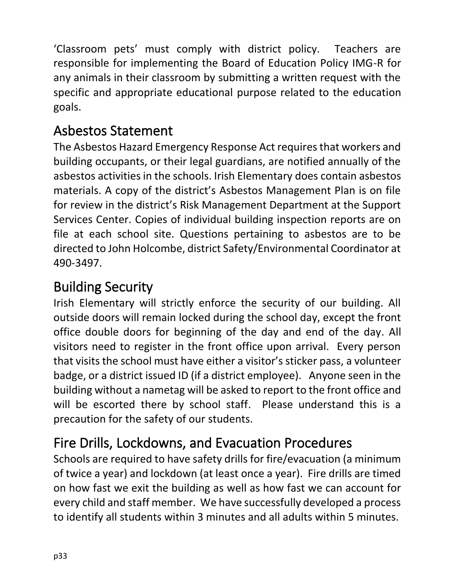'Classroom pets' must comply with district policy. Teachers are responsible for implementing the Board of Education Policy IMG-R for any animals in their classroom by submitting a written request with the specific and appropriate educational purpose related to the education goals.

#### <span id="page-32-0"></span>Asbestos Statement

The Asbestos Hazard Emergency Response Act requires that workers and building occupants, or their legal guardians, are notified annually of the asbestos activities in the schools. Irish Elementary does contain asbestos materials. A copy of the district's Asbestos Management Plan is on file for review in the district's Risk Management Department at the Support Services Center. Copies of individual building inspection reports are on file at each school site. Questions pertaining to asbestos are to be directed to John Holcombe, district Safety/Environmental Coordinator at 490-3497.

#### <span id="page-32-1"></span>Building Security

Irish Elementary will strictly enforce the security of our building. All outside doors will remain locked during the school day, except the front office double doors for beginning of the day and end of the day. All visitors need to register in the front office upon arrival. Every person that visits the school must have either a visitor's sticker pass, a volunteer badge, or a district issued ID (if a district employee). Anyone seen in the building without a nametag will be asked to report to the front office and will be escorted there by school staff. Please understand this is a precaution for the safety of our students.

#### <span id="page-32-2"></span>Fire Drills, Lockdowns, and Evacuation Procedures

Schools are required to have safety drills for fire/evacuation (a minimum of twice a year) and lockdown (at least once a year). Fire drills are timed on how fast we exit the building as well as how fast we can account for every child and staff member. We have successfully developed a process to identify all students within 3 minutes and all adults within 5 minutes.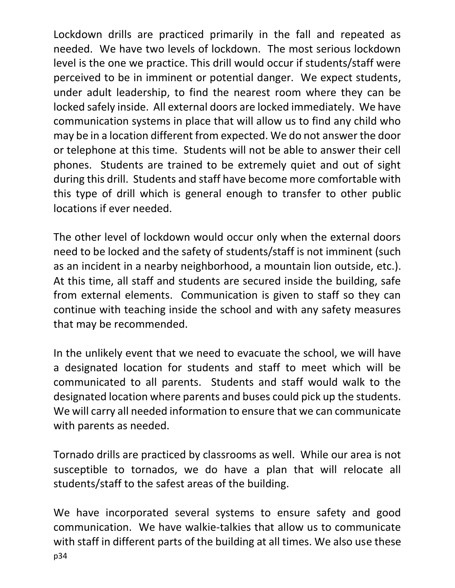Lockdown drills are practiced primarily in the fall and repeated as needed. We have two levels of lockdown. The most serious lockdown level is the one we practice. This drill would occur if students/staff were perceived to be in imminent or potential danger. We expect students, under adult leadership, to find the nearest room where they can be locked safely inside. All external doors are locked immediately. We have communication systems in place that will allow us to find any child who may be in a location different from expected. We do not answer the door or telephone at this time. Students will not be able to answer their cell phones. Students are trained to be extremely quiet and out of sight during this drill. Students and staff have become more comfortable with this type of drill which is general enough to transfer to other public locations if ever needed.

The other level of lockdown would occur only when the external doors need to be locked and the safety of students/staff is not imminent (such as an incident in a nearby neighborhood, a mountain lion outside, etc.). At this time, all staff and students are secured inside the building, safe from external elements. Communication is given to staff so they can continue with teaching inside the school and with any safety measures that may be recommended.

In the unlikely event that we need to evacuate the school, we will have a designated location for students and staff to meet which will be communicated to all parents. Students and staff would walk to the designated location where parents and buses could pick up the students. We will carry all needed information to ensure that we can communicate with parents as needed.

Tornado drills are practiced by classrooms as well. While our area is not susceptible to tornados, we do have a plan that will relocate all students/staff to the safest areas of the building.

p34 We have incorporated several systems to ensure safety and good communication. We have walkie-talkies that allow us to communicate with staff in different parts of the building at all times. We also use these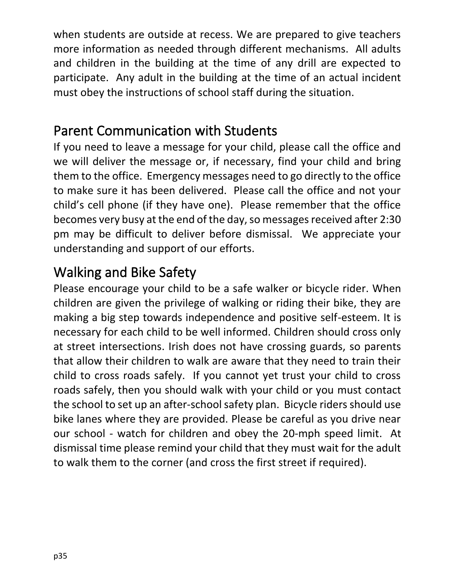when students are outside at recess. We are prepared to give teachers more information as needed through different mechanisms. All adults and children in the building at the time of any drill are expected to participate. Any adult in the building at the time of an actual incident must obey the instructions of school staff during the situation.

#### <span id="page-34-0"></span>Parent Communication with Students

If you need to leave a message for your child, please call the office and we will deliver the message or, if necessary, find your child and bring them to the office. Emergency messages need to go directly to the office to make sure it has been delivered. Please call the office and not your child's cell phone (if they have one). Please remember that the office becomes very busy at the end of the day, so messages received after 2:30 pm may be difficult to deliver before dismissal. We appreciate your understanding and support of our efforts.

#### <span id="page-34-1"></span>Walking and Bike Safety

Please encourage your child to be a safe walker or bicycle rider. When children are given the privilege of walking or riding their bike, they are making a big step towards independence and positive self-esteem. It is necessary for each child to be well informed. Children should cross only at street intersections. Irish does not have crossing guards, so parents that allow their children to walk are aware that they need to train their child to cross roads safely. If you cannot yet trust your child to cross roads safely, then you should walk with your child or you must contact the school to set up an after-schoolsafety plan. Bicycle riders should use bike lanes where they are provided. Please be careful as you drive near our school - watch for children and obey the 20-mph speed limit. At dismissal time please remind your child that they must wait for the adult to walk them to the corner (and cross the first street if required).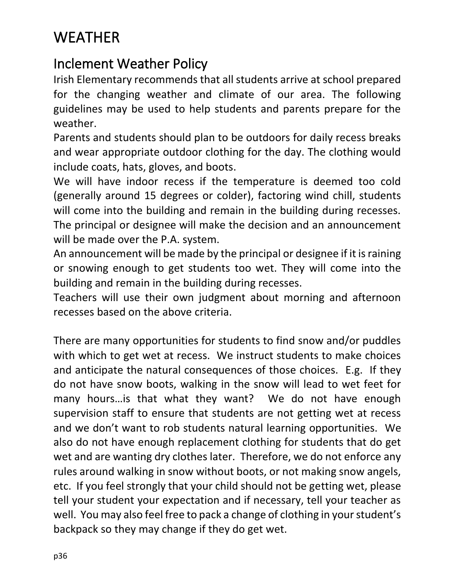## <span id="page-35-0"></span>WEATHER

#### <span id="page-35-1"></span>Inclement Weather Policy

Irish Elementary recommends that all students arrive at school prepared for the changing weather and climate of our area. The following guidelines may be used to help students and parents prepare for the weather.

Parents and students should plan to be outdoors for daily recess breaks and wear appropriate outdoor clothing for the day. The clothing would include coats, hats, gloves, and boots.

We will have indoor recess if the temperature is deemed too cold (generally around 15 degrees or colder), factoring wind chill, students will come into the building and remain in the building during recesses. The principal or designee will make the decision and an announcement will be made over the P.A. system.

An announcement will be made by the principal or designee if it is raining or snowing enough to get students too wet. They will come into the building and remain in the building during recesses.

Teachers will use their own judgment about morning and afternoon recesses based on the above criteria.

There are many opportunities for students to find snow and/or puddles with which to get wet at recess. We instruct students to make choices and anticipate the natural consequences of those choices. E.g. If they do not have snow boots, walking in the snow will lead to wet feet for many hours…is that what they want? We do not have enough supervision staff to ensure that students are not getting wet at recess and we don't want to rob students natural learning opportunities. We also do not have enough replacement clothing for students that do get wet and are wanting dry clothes later. Therefore, we do not enforce any rules around walking in snow without boots, or not making snow angels, etc. If you feel strongly that your child should not be getting wet, please tell your student your expectation and if necessary, tell your teacher as well. You may also feel free to pack a change of clothing in your student's backpack so they may change if they do get wet.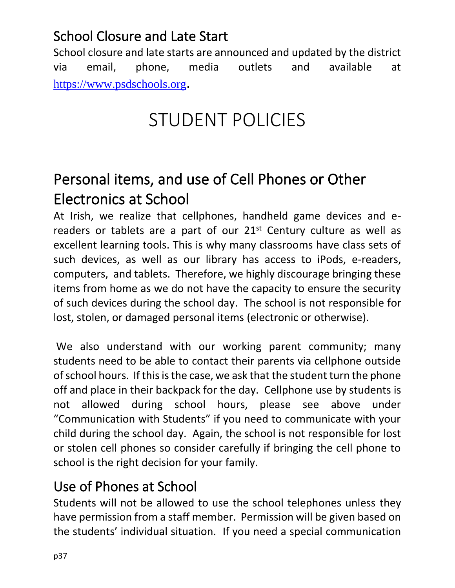#### School Closure and Late Start

School closure and late starts are announced and updated by the district via email, phone, media outlets and available at [https://www.psdschools.org](https://www.psdschools.org/).

# STUDENT POLICIES

## Personal items, and use of Cell Phones or Other Electronics at School

At Irish, we realize that cellphones, handheld game devices and ereaders or tablets are a part of our  $21<sup>st</sup>$  Century culture as well as excellent learning tools. This is why many classrooms have class sets of such devices, as well as our library has access to iPods, e-readers, computers, and tablets. Therefore, we highly discourage bringing these items from home as we do not have the capacity to ensure the security of such devices during the school day. The school is not responsible for lost, stolen, or damaged personal items (electronic or otherwise).

We also understand with our working parent community; many students need to be able to contact their parents via cellphone outside of school hours. If this is the case, we ask that the student turn the phone off and place in their backpack for the day. Cellphone use by students is not allowed during school hours, please see above under "Communication with Students" if you need to communicate with your child during the school day. Again, the school is not responsible for lost or stolen cell phones so consider carefully if bringing the cell phone to school is the right decision for your family.

#### Use of Phones at School

Students will not be allowed to use the school telephones unless they have permission from a staff member. Permission will be given based on the students' individual situation. If you need a special communication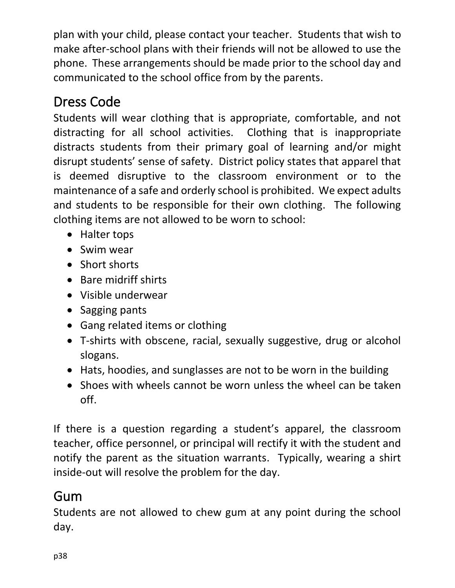plan with your child, please contact your teacher. Students that wish to make after-school plans with their friends will not be allowed to use the phone. These arrangements should be made prior to the school day and communicated to the school office from by the parents.

## Dress Code

Students will wear clothing that is appropriate, comfortable, and not distracting for all school activities. Clothing that is inappropriate distracts students from their primary goal of learning and/or might disrupt students' sense of safety. District policy states that apparel that is deemed disruptive to the classroom environment or to the maintenance of a safe and orderly school is prohibited. We expect adults and students to be responsible for their own clothing. The following clothing items are not allowed to be worn to school:

- Halter tops
- Swim wear
- Short shorts
- Bare midriff shirts
- Visible underwear
- Sagging pants
- Gang related items or clothing
- T-shirts with obscene, racial, sexually suggestive, drug or alcohol slogans.
- Hats, hoodies, and sunglasses are not to be worn in the building
- Shoes with wheels cannot be worn unless the wheel can be taken off.

If there is a question regarding a student's apparel, the classroom teacher, office personnel, or principal will rectify it with the student and notify the parent as the situation warrants. Typically, wearing a shirt inside-out will resolve the problem for the day.

#### Gum

Students are not allowed to chew gum at any point during the school day.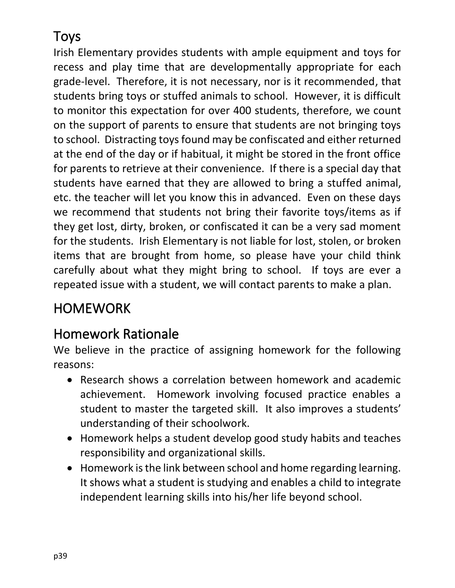## Toys

Irish Elementary provides students with ample equipment and toys for recess and play time that are developmentally appropriate for each grade-level. Therefore, it is not necessary, nor is it recommended, that students bring toys or stuffed animals to school. However, it is difficult to monitor this expectation for over 400 students, therefore, we count on the support of parents to ensure that students are not bringing toys to school. Distracting toys found may be confiscated and either returned at the end of the day or if habitual, it might be stored in the front office for parents to retrieve at their convenience. If there is a special day that students have earned that they are allowed to bring a stuffed animal, etc. the teacher will let you know this in advanced. Even on these days we recommend that students not bring their favorite toys/items as if they get lost, dirty, broken, or confiscated it can be a very sad moment for the students. Irish Elementary is not liable for lost, stolen, or broken items that are brought from home, so please have your child think carefully about what they might bring to school. If toys are ever a repeated issue with a student, we will contact parents to make a plan.

#### **HOMEWORK**

#### Homework Rationale

We believe in the practice of assigning homework for the following reasons:

- Research shows a correlation between homework and academic achievement. Homework involving focused practice enables a student to master the targeted skill. It also improves a students' understanding of their schoolwork.
- Homework helps a student develop good study habits and teaches responsibility and organizational skills.
- Homework is the link between school and home regarding learning. It shows what a student is studying and enables a child to integrate independent learning skills into his/her life beyond school.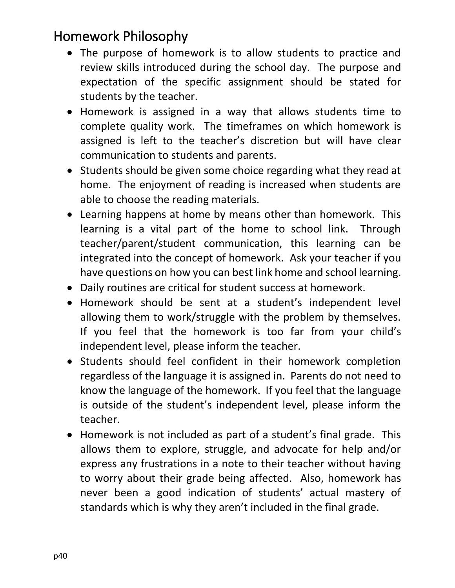#### Homework Philosophy

- The purpose of homework is to allow students to practice and review skills introduced during the school day. The purpose and expectation of the specific assignment should be stated for students by the teacher.
- Homework is assigned in a way that allows students time to complete quality work. The timeframes on which homework is assigned is left to the teacher's discretion but will have clear communication to students and parents.
- Students should be given some choice regarding what they read at home. The enjoyment of reading is increased when students are able to choose the reading materials.
- Learning happens at home by means other than homework. This learning is a vital part of the home to school link. Through teacher/parent/student communication, this learning can be integrated into the concept of homework. Ask your teacher if you have questions on how you can best link home and school learning.
- Daily routines are critical for student success at homework.
- Homework should be sent at a student's independent level allowing them to work/struggle with the problem by themselves. If you feel that the homework is too far from your child's independent level, please inform the teacher.
- Students should feel confident in their homework completion regardless of the language it is assigned in. Parents do not need to know the language of the homework. If you feel that the language is outside of the student's independent level, please inform the teacher.
- Homework is not included as part of a student's final grade. This allows them to explore, struggle, and advocate for help and/or express any frustrations in a note to their teacher without having to worry about their grade being affected. Also, homework has never been a good indication of students' actual mastery of standards which is why they aren't included in the final grade.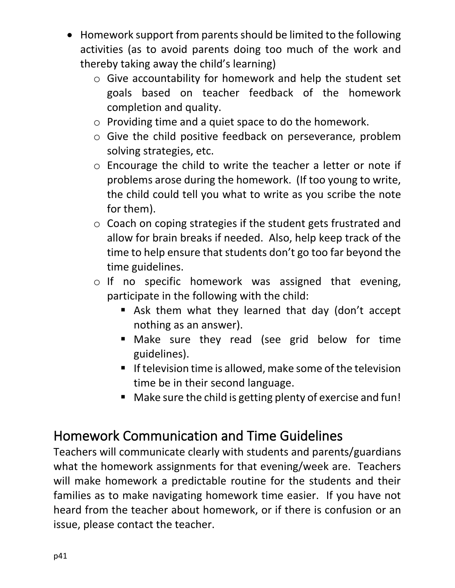- Homework support from parents should be limited to the following activities (as to avoid parents doing too much of the work and thereby taking away the child's learning)
	- o Give accountability for homework and help the student set goals based on teacher feedback of the homework completion and quality.
	- o Providing time and a quiet space to do the homework.
	- o Give the child positive feedback on perseverance, problem solving strategies, etc.
	- o Encourage the child to write the teacher a letter or note if problems arose during the homework. (If too young to write, the child could tell you what to write as you scribe the note for them).
	- o Coach on coping strategies if the student gets frustrated and allow for brain breaks if needed. Also, help keep track of the time to help ensure that students don't go too far beyond the time guidelines.
	- o If no specific homework was assigned that evening, participate in the following with the child:
		- Ask them what they learned that day (don't accept nothing as an answer).
		- Make sure they read (see grid below for time guidelines).
		- **If television time is allowed, make some of the television** time be in their second language.
		- Make sure the child is getting plenty of exercise and fun!

#### Homework Communication and Time Guidelines

Teachers will communicate clearly with students and parents/guardians what the homework assignments for that evening/week are. Teachers will make homework a predictable routine for the students and their families as to make navigating homework time easier. If you have not heard from the teacher about homework, or if there is confusion or an issue, please contact the teacher.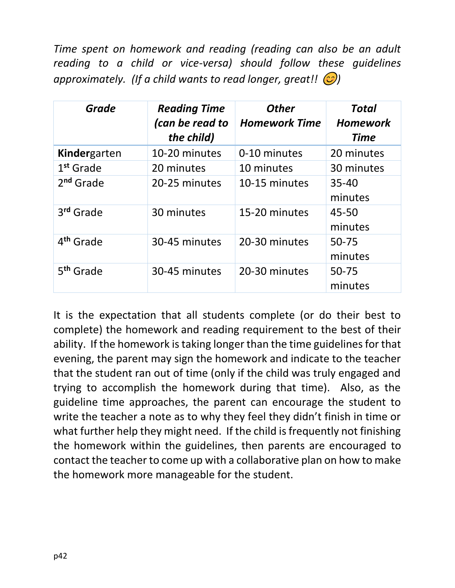*Time spent on homework and reading (reading can also be an adult reading to a child or vice-versa) should follow these guidelines approximately.* (If a child wants to read longer, great!!  $\circled{c}$ )

| <b>Grade</b>          | <b>Reading Time</b><br>(can be read to<br>the child) | <b>Other</b><br><b>Homework Time</b> | <b>Total</b><br><b>Homework</b><br><b>Time</b> |
|-----------------------|------------------------------------------------------|--------------------------------------|------------------------------------------------|
| Kindergarten          | 10-20 minutes                                        | 0-10 minutes                         | 20 minutes                                     |
| 1 <sup>st</sup> Grade | 20 minutes                                           | 10 minutes                           | 30 minutes                                     |
| 2 <sup>nd</sup> Grade | 20-25 minutes                                        | 10-15 minutes                        | $35 - 40$<br>minutes                           |
| 3rd Grade             | 30 minutes                                           | 15-20 minutes                        | 45-50<br>minutes                               |
| 4 <sup>th</sup> Grade | 30-45 minutes                                        | 20-30 minutes                        | $50 - 75$<br>minutes                           |
| 5 <sup>th</sup> Grade | 30-45 minutes                                        | 20-30 minutes                        | $50 - 75$<br>minutes                           |

It is the expectation that all students complete (or do their best to complete) the homework and reading requirement to the best of their ability. If the homework is taking longer than the time guidelines for that evening, the parent may sign the homework and indicate to the teacher that the student ran out of time (only if the child was truly engaged and trying to accomplish the homework during that time). Also, as the guideline time approaches, the parent can encourage the student to write the teacher a note as to why they feel they didn't finish in time or what further help they might need. If the child is frequently not finishing the homework within the guidelines, then parents are encouraged to contact the teacher to come up with a collaborative plan on how to make the homework more manageable for the student.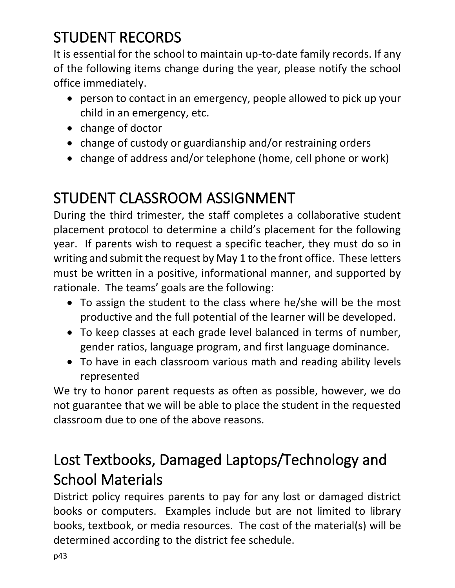## STUDENT RECORDS

It is essential for the school to maintain up-to-date family records. If any of the following items change during the year, please notify the school office immediately.

- person to contact in an emergency, people allowed to pick up your child in an emergency, etc.
- change of doctor
- change of custody or guardianship and/or restraining orders
- change of address and/or telephone (home, cell phone or work)

## STUDENT CLASSROOM ASSIGNMENT

During the third trimester, the staff completes a collaborative student placement protocol to determine a child's placement for the following year. If parents wish to request a specific teacher, they must do so in writing and submit the request by May 1 to the front office. These letters must be written in a positive, informational manner, and supported by rationale. The teams' goals are the following:

- To assign the student to the class where he/she will be the most productive and the full potential of the learner will be developed.
- To keep classes at each grade level balanced in terms of number, gender ratios, language program, and first language dominance.
- To have in each classroom various math and reading ability levels represented

We try to honor parent requests as often as possible, however, we do not guarantee that we will be able to place the student in the requested classroom due to one of the above reasons.

## Lost Textbooks, Damaged Laptops/Technology and School Materials

District policy requires parents to pay for any lost or damaged district books or computers. Examples include but are not limited to library books, textbook, or media resources. The cost of the material(s) will be determined according to the district fee schedule.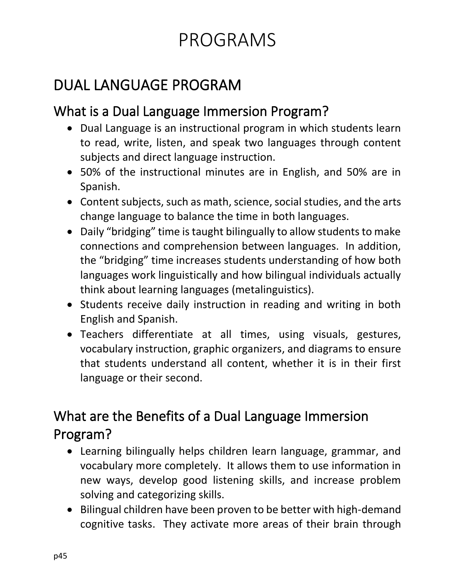# PROGRAMS

## DUAL LANGUAGE PROGRAM

#### What is a Dual Language Immersion Program?

- Dual Language is an instructional program in which students learn to read, write, listen, and speak two languages through content subjects and direct language instruction.
- 50% of the instructional minutes are in English, and 50% are in Spanish.
- Content subjects, such as math, science, social studies, and the arts change language to balance the time in both languages.
- Daily "bridging" time is taught bilingually to allow students to make connections and comprehension between languages. In addition, the "bridging" time increases students understanding of how both languages work linguistically and how bilingual individuals actually think about learning languages (metalinguistics).
- Students receive daily instruction in reading and writing in both English and Spanish.
- Teachers differentiate at all times, using visuals, gestures, vocabulary instruction, graphic organizers, and diagrams to ensure that students understand all content, whether it is in their first language or their second.

## What are the Benefits of a Dual Language Immersion Program?

- Learning bilingually helps children learn language, grammar, and vocabulary more completely. It allows them to use information in new ways, develop good listening skills, and increase problem solving and categorizing skills.
- Bilingual children have been proven to be better with high-demand cognitive tasks. They activate more areas of their brain through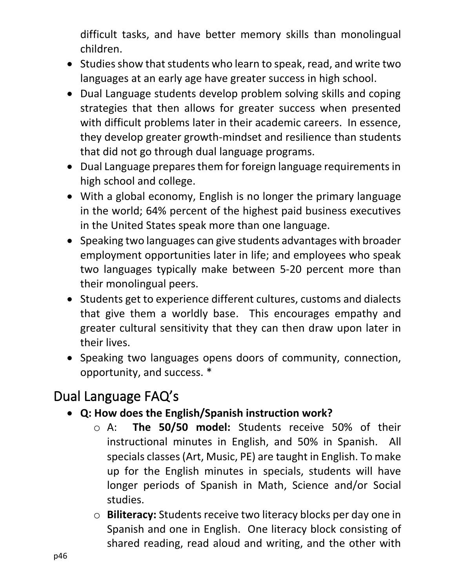difficult tasks, and have better memory skills than monolingual children.

- Studies show that students who learn to speak, read, and write two languages at an early age have greater success in high school.
- Dual Language students develop problem solving skills and coping strategies that then allows for greater success when presented with difficult problems later in their academic careers. In essence, they develop greater growth-mindset and resilience than students that did not go through dual language programs.
- Dual Language prepares them for foreign language requirements in high school and college.
- With a global economy, English is no longer the primary language in the world; 64% percent of the highest paid business executives in the United States speak more than one language.
- Speaking two languages can give students advantages with broader employment opportunities later in life; and employees who speak two languages typically make between 5-20 percent more than their monolingual peers.
- Students get to experience different cultures, customs and dialects that give them a worldly base. This encourages empathy and greater cultural sensitivity that they can then draw upon later in their lives.
- Speaking two languages opens doors of community, connection, opportunity, and success. \*

#### Dual Language FAQ's

- **Q: How does the English/Spanish instruction work?** 
	- o A: **The 50/50 model:** Students receive 50% of their instructional minutes in English, and 50% in Spanish. All specials classes (Art, Music, PE) are taught in English. To make up for the English minutes in specials, students will have longer periods of Spanish in Math, Science and/or Social studies.
	- o **Biliteracy:** Students receive two literacy blocks per day one in Spanish and one in English. One literacy block consisting of shared reading, read aloud and writing, and the other with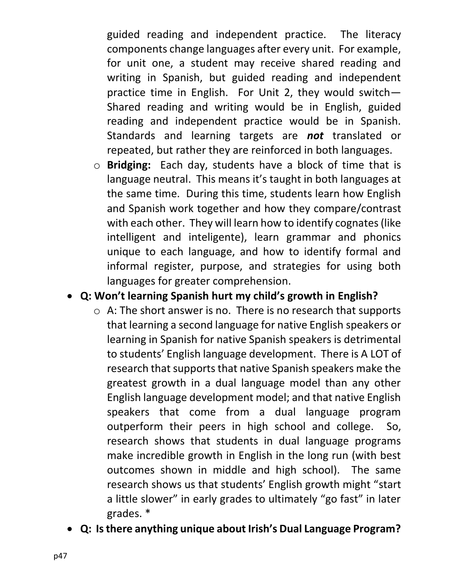guided reading and independent practice. The literacy components change languages after every unit. For example, for unit one, a student may receive shared reading and writing in Spanish, but guided reading and independent practice time in English. For Unit 2, they would switch— Shared reading and writing would be in English, guided reading and independent practice would be in Spanish. Standards and learning targets are *not* translated or repeated, but rather they are reinforced in both languages.

o **Bridging:** Each day, students have a block of time that is language neutral. This means it's taught in both languages at the same time. During this time, students learn how English and Spanish work together and how they compare/contrast with each other. They will learn how to identify cognates (like intelligent and inteligente), learn grammar and phonics unique to each language, and how to identify formal and informal register, purpose, and strategies for using both languages for greater comprehension.

#### • **Q: Won't learning Spanish hurt my child's growth in English?**

- $\circ$  A: The short answer is no. There is no research that supports that learning a second language for native English speakers or learning in Spanish for native Spanish speakers is detrimental to students' English language development. There is A LOT of research that supports that native Spanish speakers make the greatest growth in a dual language model than any other English language development model; and that native English speakers that come from a dual language program outperform their peers in high school and college. So, research shows that students in dual language programs make incredible growth in English in the long run (with best outcomes shown in middle and high school). The same research shows us that students' English growth might "start a little slower" in early grades to ultimately "go fast" in later grades. \*
- **Q: Is there anything unique about Irish's Dual Language Program?**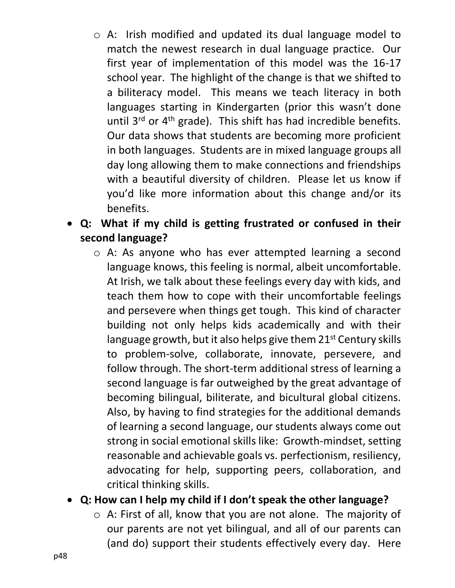- o A: Irish modified and updated its dual language model to match the newest research in dual language practice. Our first year of implementation of this model was the 16-17 school year. The highlight of the change is that we shifted to a biliteracy model. This means we teach literacy in both languages starting in Kindergarten (prior this wasn't done until  $3^{rd}$  or  $4^{th}$  grade). This shift has had incredible benefits. Our data shows that students are becoming more proficient in both languages. Students are in mixed language groups all day long allowing them to make connections and friendships with a beautiful diversity of children. Please let us know if you'd like more information about this change and/or its benefits.
- **Q: What if my child is getting frustrated or confused in their second language?** 
	- o A: As anyone who has ever attempted learning a second language knows, this feeling is normal, albeit uncomfortable. At Irish, we talk about these feelings every day with kids, and teach them how to cope with their uncomfortable feelings and persevere when things get tough. This kind of character building not only helps kids academically and with their language growth, but it also helps give them  $21<sup>st</sup>$  Century skills to problem-solve, collaborate, innovate, persevere, and follow through. The short-term additional stress of learning a second language is far outweighed by the great advantage of becoming bilingual, biliterate, and bicultural global citizens. Also, by having to find strategies for the additional demands of learning a second language, our students always come out strong in social emotional skills like: Growth-mindset, setting reasonable and achievable goals vs. perfectionism, resiliency, advocating for help, supporting peers, collaboration, and critical thinking skills.
- **Q: How can I help my child if I don't speak the other language?** 
	- o A: First of all, know that you are not alone. The majority of our parents are not yet bilingual, and all of our parents can (and do) support their students effectively every day. Here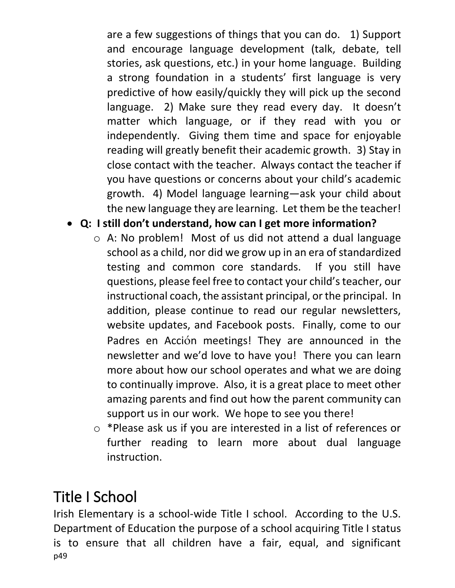are a few suggestions of things that you can do. 1) Support and encourage language development (talk, debate, tell stories, ask questions, etc.) in your home language. Building a strong foundation in a students' first language is very predictive of how easily/quickly they will pick up the second language. 2) Make sure they read every day. It doesn't matter which language, or if they read with you or independently. Giving them time and space for enjoyable reading will greatly benefit their academic growth. 3) Stay in close contact with the teacher. Always contact the teacher if you have questions or concerns about your child's academic growth. 4) Model language learning—ask your child about the new language they are learning. Let them be the teacher!

- **Q: I still don't understand, how can I get more information?** 
	- o A: No problem! Most of us did not attend a dual language school as a child, nor did we grow up in an era of standardized testing and common core standards. If you still have questions, please feel free to contact your child's teacher, our instructional coach, the assistant principal, or the principal. In addition, please continue to read our regular newsletters, website updates, and Facebook posts. Finally, come to our Padres en Acción meetings! They are announced in the newsletter and we'd love to have you! There you can learn more about how our school operates and what we are doing to continually improve. Also, it is a great place to meet other amazing parents and find out how the parent community can support us in our work. We hope to see you there!
	- o \*Please ask us if you are interested in a list of references or further reading to learn more about dual language instruction.

## Title I School

p49 Irish Elementary is a school-wide Title I school. According to the U.S. Department of Education the purpose of a school acquiring Title I status is to ensure that all children have a fair, equal, and significant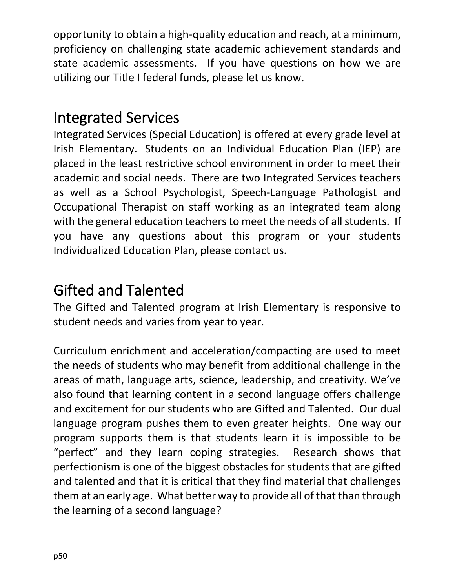opportunity to obtain a high-quality education and reach, at a minimum, proficiency on challenging state academic achievement standards and state academic assessments. If you have questions on how we are utilizing our Title I federal funds, please let us know.

#### Integrated Services

Integrated Services (Special Education) is offered at every grade level at Irish Elementary. Students on an Individual Education Plan (IEP) are placed in the least restrictive school environment in order to meet their academic and social needs. There are two Integrated Services teachers as well as a School Psychologist, Speech-Language Pathologist and Occupational Therapist on staff working as an integrated team along with the general education teachers to meet the needs of all students. If you have any questions about this program or your students Individualized Education Plan, please contact us.

## Gifted and Talented

The Gifted and Talented program at Irish Elementary is responsive to student needs and varies from year to year.

Curriculum enrichment and acceleration/compacting are used to meet the needs of students who may benefit from additional challenge in the areas of math, language arts, science, leadership, and creativity. We've also found that learning content in a second language offers challenge and excitement for our students who are Gifted and Talented. Our dual language program pushes them to even greater heights. One way our program supports them is that students learn it is impossible to be "perfect" and they learn coping strategies. Research shows that perfectionism is one of the biggest obstacles for students that are gifted and talented and that it is critical that they find material that challenges them at an early age. What better way to provide all of that than through the learning of a second language?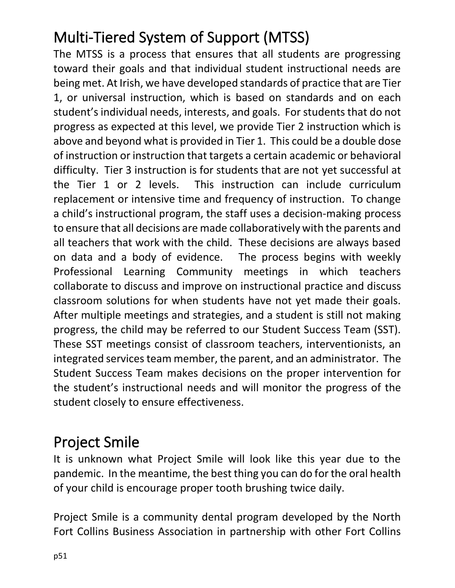# Multi-Tiered System of Support (MTSS)

The MTSS is a process that ensures that all students are progressing toward their goals and that individual student instructional needs are being met. At Irish, we have developed standards of practice that are Tier 1, or universal instruction, which is based on standards and on each student's individual needs, interests, and goals. For students that do not progress as expected at this level, we provide Tier 2 instruction which is above and beyond what is provided in Tier 1. This could be a double dose of instruction or instruction that targets a certain academic or behavioral difficulty. Tier 3 instruction is for students that are not yet successful at the Tier 1 or 2 levels. This instruction can include curriculum replacement or intensive time and frequency of instruction. To change a child's instructional program, the staff uses a decision-making process to ensure that all decisions are made collaboratively with the parents and all teachers that work with the child. These decisions are always based on data and a body of evidence. The process begins with weekly Professional Learning Community meetings in which teachers collaborate to discuss and improve on instructional practice and discuss classroom solutions for when students have not yet made their goals. After multiple meetings and strategies, and a student is still not making progress, the child may be referred to our Student Success Team (SST). These SST meetings consist of classroom teachers, interventionists, an integrated services team member, the parent, and an administrator. The Student Success Team makes decisions on the proper intervention for the student's instructional needs and will monitor the progress of the student closely to ensure effectiveness.

## Project Smile

It is unknown what Project Smile will look like this year due to the pandemic. In the meantime, the best thing you can do for the oral health of your child is encourage proper tooth brushing twice daily.

Project Smile is a community dental program developed by the North Fort Collins Business Association in partnership with other Fort Collins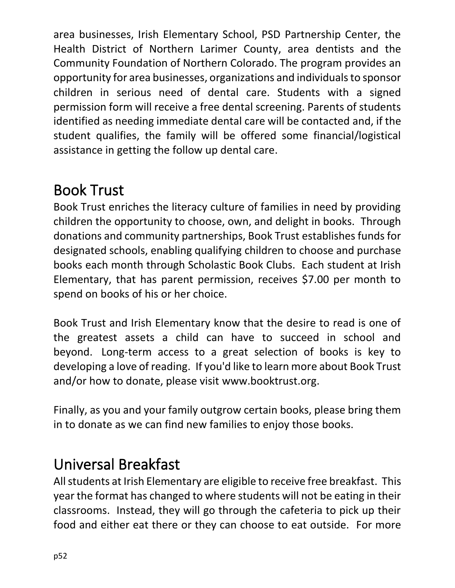area businesses, Irish Elementary School, PSD Partnership Center, the Health District of Northern Larimer County, area dentists and the Community Foundation of Northern Colorado. The program provides an opportunity for area businesses, organizations and individuals to sponsor children in serious need of dental care. Students with a signed permission form will receive a free dental screening. Parents of students identified as needing immediate dental care will be contacted and, if the student qualifies, the family will be offered some financial/logistical assistance in getting the follow up dental care.

## Book Trust

Book Trust enriches the literacy culture of families in need by providing children the opportunity to choose, own, and delight in books. Through donations and community partnerships, Book Trust establishes funds for designated schools, enabling qualifying children to choose and purchase books each month through Scholastic Book Clubs. Each student at Irish Elementary, that has parent permission, receives \$7.00 per month to spend on books of his or her choice.

Book Trust and Irish Elementary know that the desire to read is one of the greatest assets a child can have to succeed in school and beyond. Long-term access to a great selection of books is key to developing a love of reading. If you'd like to learn more about Book Trust and/or how to donate, please visit [www.booktrust.org.](http://www.booktrust.org/)

Finally, as you and your family outgrow certain books, please bring them in to donate as we can find new families to enjoy those books.

## Universal Breakfast

All students at Irish Elementary are eligible to receive free breakfast. This year the format has changed to where students will not be eating in their classrooms. Instead, they will go through the cafeteria to pick up their food and either eat there or they can choose to eat outside. For more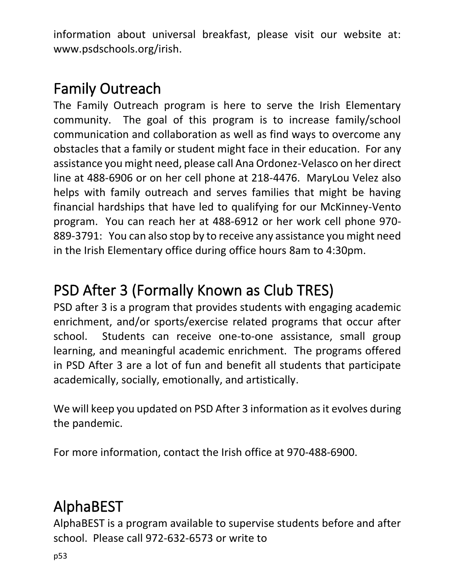information about universal breakfast, please visit our website at: [www.psdschools.org/irish.](http://www.psdschools.org/irish)

## Family Outreach

The Family Outreach program is here to serve the Irish Elementary community. The goal of this program is to increase family/school communication and collaboration as well as find ways to overcome any obstacles that a family or student might face in their education. For any assistance you might need, please call Ana Ordonez-Velasco on her direct line at 488-6906 or on her cell phone at 218-4476. MaryLou Velez also helps with family outreach and serves families that might be having financial hardships that have led to qualifying for our McKinney-Vento program. You can reach her at 488-6912 or her work cell phone 970- 889-3791: You can also stop by to receive any assistance you might need in the Irish Elementary office during office hours 8am to 4:30pm.

## PSD After 3 (Formally Known as Club TRES)

PSD after 3 is a program that provides students with engaging academic enrichment, and/or sports/exercise related programs that occur after school. Students can receive one-to-one assistance, small group learning, and meaningful academic enrichment. The programs offered in PSD After 3 are a lot of fun and benefit all students that participate academically, socially, emotionally, and artistically.

We will keep you updated on PSD After 3 information as it evolves during the pandemic.

For more information, contact the Irish office at 970-488-6900.

# AlphaBEST

AlphaBEST is a program available to supervise students before and after school. Please call 972-632-6573 or write to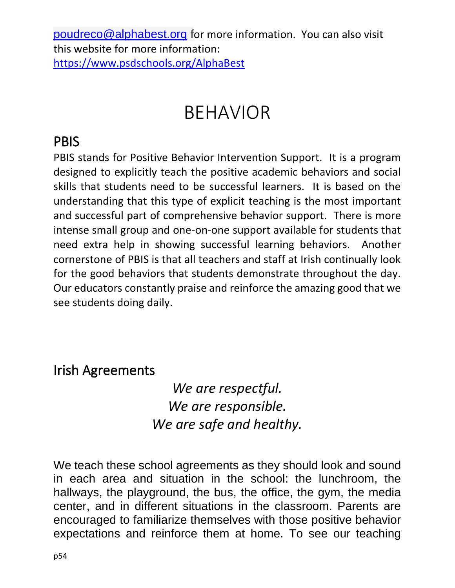[poudreco@alphabest.org](mailto:poudreco@alphabest.org) for more information. You can also visit this website for more information: <https://www.psdschools.org/AlphaBest>

# BEHAVIOR

#### PBIS

PBIS stands for Positive Behavior Intervention Support. It is a program designed to explicitly teach the positive academic behaviors and social skills that students need to be successful learners. It is based on the understanding that this type of explicit teaching is the most important and successful part of comprehensive behavior support. There is more intense small group and one-on-one support available for students that need extra help in showing successful learning behaviors. Another cornerstone of PBIS is that all teachers and staff at Irish continually look for the good behaviors that students demonstrate throughout the day. Our educators constantly praise and reinforce the amazing good that we see students doing daily.

#### Irish Agreements

#### *We are respectful. We are responsible. We are safe and healthy.*

We teach these school agreements as they should look and sound in each area and situation in the school: the lunchroom, the hallways, the playground, the bus, the office, the gym, the media center, and in different situations in the classroom. Parents are encouraged to familiarize themselves with those positive behavior expectations and reinforce them at home. To see our teaching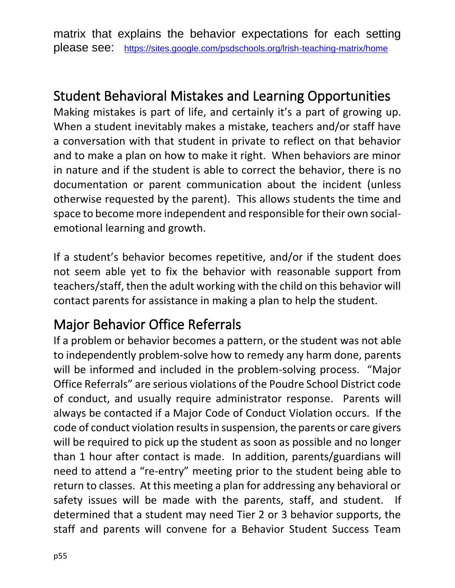matrix that explains the behavior expectations for each setting please see: <https://sites.google.com/psdschools.org/lrish-teaching-matrix/home>

#### Student Behavioral Mistakes and Learning Opportunities

Making mistakes is part of life, and certainly it's a part of growing up. When a student inevitably makes a mistake, teachers and/or staff have a conversation with that student in private to reflect on that behavior and to make a plan on how to make it right. When behaviors are minor in nature and if the student is able to correct the behavior, there is no documentation or parent communication about the incident (unless otherwise requested by the parent). This allows students the time and space to become more independent and responsible for their own socialemotional learning and growth.

If a student's behavior becomes repetitive, and/or if the student does not seem able yet to fix the behavior with reasonable support from teachers/staff, then the adult working with the child on this behavior will contact parents for assistance in making a plan to help the student.

#### Major Behavior Office Referrals

If a problem or behavior becomes a pattern, or the student was not able to independently problem-solve how to remedy any harm done, parents will be informed and included in the problem-solving process. "Major Office Referrals" are serious violations of the Poudre School District code of conduct, and usually require administrator response. Parents will always be contacted if a Major Code of Conduct Violation occurs. If the code of conduct violation results in suspension, the parents or care givers will be required to pick up the student as soon as possible and no longer than 1 hour after contact is made. In addition, parents/guardians will need to attend a "re-entry" meeting prior to the student being able to return to classes. At this meeting a plan for addressing any behavioral or safety issues will be made with the parents, staff, and student. If determined that a student may need Tier 2 or 3 behavior supports, the staff and parents will convene for a Behavior Student Success Team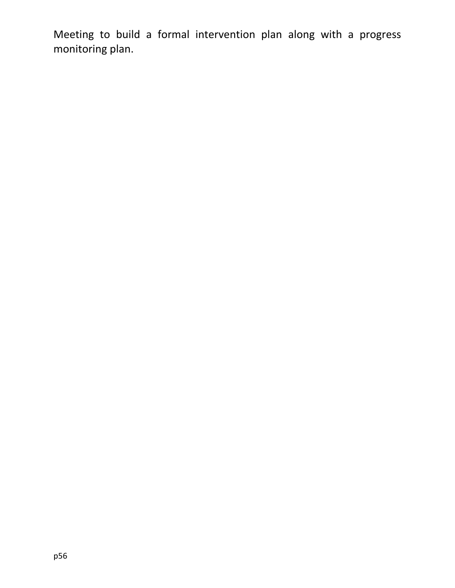Meeting to build a formal intervention plan along with a progress monitoring plan.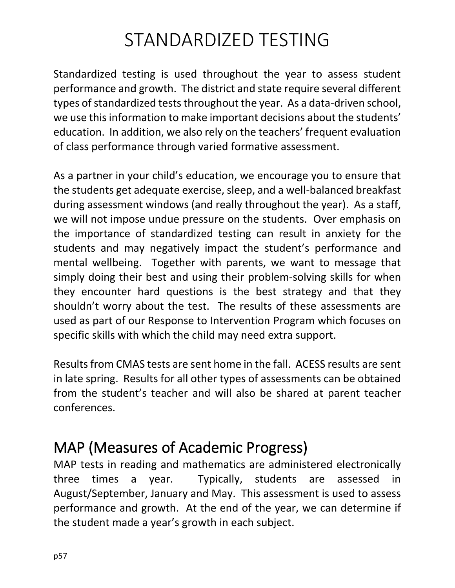# STANDARDIZED TESTING

Standardized testing is used throughout the year to assess student performance and growth. The district and state require several different types of standardized tests throughout the year. As a data-driven school, we use this information to make important decisions about the students' education. In addition, we also rely on the teachers' frequent evaluation of class performance through varied formative assessment.

As a partner in your child's education, we encourage you to ensure that the students get adequate exercise, sleep, and a well-balanced breakfast during assessment windows (and really throughout the year). As a staff, we will not impose undue pressure on the students. Over emphasis on the importance of standardized testing can result in anxiety for the students and may negatively impact the student's performance and mental wellbeing. Together with parents, we want to message that simply doing their best and using their problem-solving skills for when they encounter hard questions is the best strategy and that they shouldn't worry about the test. The results of these assessments are used as part of our Response to Intervention Program which focuses on specific skills with which the child may need extra support.

Results from CMAS tests are sent home in the fall. ACESS results are sent in late spring. Results for all other types of assessments can be obtained from the student's teacher and will also be shared at parent teacher conferences.

#### MAP (Measures of Academic Progress)

MAP tests in reading and mathematics are administered electronically three times a year. Typically, students are assessed in August/September, January and May. This assessment is used to assess performance and growth. At the end of the year, we can determine if the student made a year's growth in each subject.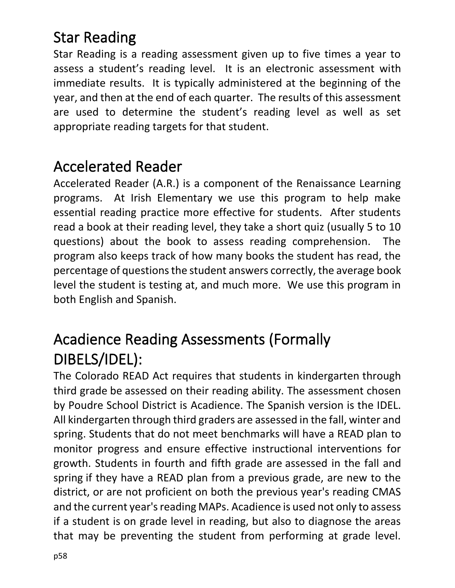## Star Reading

Star Reading is a reading assessment given up to five times a year to assess a student's reading level. It is an electronic assessment with immediate results. It is typically administered at the beginning of the year, and then at the end of each quarter. The results of this assessment are used to determine the student's reading level as well as set appropriate reading targets for that student.

#### Accelerated Reader

Accelerated Reader (A.R.) is a component of the Renaissance Learning programs. At Irish Elementary we use this program to help make essential reading practice more effective for students. After students read a book at their reading level, they take a short quiz (usually 5 to 10 questions) about the book to assess reading comprehension. The program also keeps track of how many books the student has read, the percentage of questions the student answers correctly, the average book level the student is testing at, and much more. We use this program in both English and Spanish.

## Acadience Reading Assessments (Formally DIBELS/IDEL):

The Colorado READ Act requires that students in kindergarten through third grade be assessed on their reading ability. The assessment chosen by Poudre School District is Acadience. The Spanish version is the IDEL. All kindergarten through third graders are assessed in the fall, winter and spring. Students that do not meet benchmarks will have a READ plan to monitor progress and ensure effective instructional interventions for growth. Students in fourth and fifth grade are assessed in the fall and spring if they have a READ plan from a previous grade, are new to the district, or are not proficient on both the previous year's reading CMAS and the current year's reading MAPs. Acadience is used not only to assess if a student is on grade level in reading, but also to diagnose the areas that may be preventing the student from performing at grade level.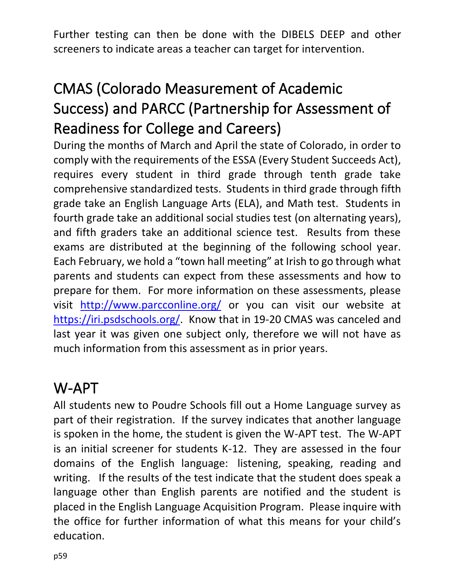Further testing can then be done with the DIBELS DEEP and other screeners to indicate areas a teacher can target for intervention.

## CMAS (Colorado Measurement of Academic Success) and PARCC (Partnership for Assessment of Readiness for College and Careers)

During the months of March and April the state of Colorado, in order to comply with the requirements of the ESSA (Every Student Succeeds Act), requires every student in third grade through tenth grade take comprehensive standardized tests. Students in third grade through fifth grade take an English Language Arts (ELA), and Math test. Students in fourth grade take an additional social studies test (on alternating years), and fifth graders take an additional science test. Results from these exams are distributed at the beginning of the following school year. Each February, we hold a "town hall meeting" at Irish to go through what parents and students can expect from these assessments and how to prepare for them. For more information on these assessments, please visit <http://www.parcconline.org/> or you can visit our website at [https://iri.psdschools.org/.](https://iri.psdschools.org/) Know that in 19-20 CMAS was canceled and last year it was given one subject only, therefore we will not have as much information from this assessment as in prior years.

#### W-APT

All students new to Poudre Schools fill out a Home Language survey as part of their registration. If the survey indicates that another language is spoken in the home, the student is given the W-APT test. The W-APT is an initial screener for students K-12. They are assessed in the four domains of the English language: listening, speaking, reading and writing. If the results of the test indicate that the student does speak a language other than English parents are notified and the student is placed in the English Language Acquisition Program. Please inquire with the office for further information of what this means for your child's education.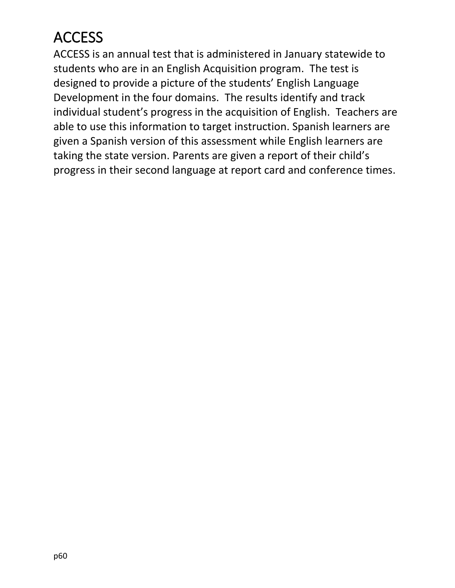## **ACCESS**

ACCESS is an annual test that is administered in January statewide to students who are in an English Acquisition program. The test is designed to provide a picture of the students' English Language Development in the four domains. The results identify and track individual student's progress in the acquisition of English. Teachers are able to use this information to target instruction. Spanish learners are given a Spanish version of this assessment while English learners are taking the state version. Parents are given a report of their child's progress in their second language at report card and conference times.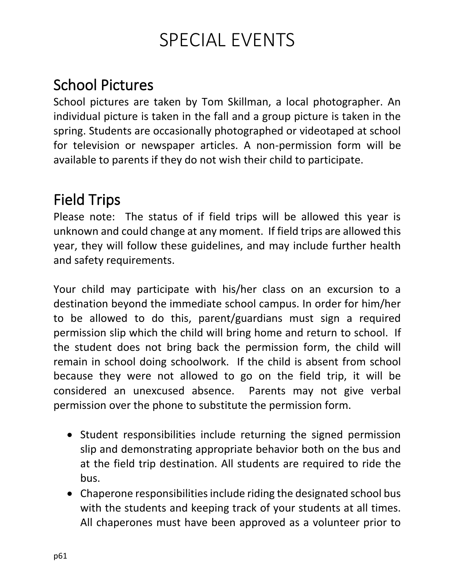# SPECIAL EVENTS

## School Pictures

School pictures are taken by Tom Skillman, a local photographer. An individual picture is taken in the fall and a group picture is taken in the spring. Students are occasionally photographed or videotaped at school for television or newspaper articles. A non-permission form will be available to parents if they do not wish their child to participate.

## Field Trips

Please note: The status of if field trips will be allowed this year is unknown and could change at any moment. If field trips are allowed this year, they will follow these guidelines, and may include further health and safety requirements.

Your child may participate with his/her class on an excursion to a destination beyond the immediate school campus. In order for him/her to be allowed to do this, parent/guardians must sign a required permission slip which the child will bring home and return to school. If the student does not bring back the permission form, the child will remain in school doing schoolwork. If the child is absent from school because they were not allowed to go on the field trip, it will be considered an unexcused absence. Parents may not give verbal permission over the phone to substitute the permission form.

- Student responsibilities include returning the signed permission slip and demonstrating appropriate behavior both on the bus and at the field trip destination. All students are required to ride the bus.
- Chaperone responsibilities include riding the designated school bus with the students and keeping track of your students at all times. All chaperones must have been approved as a volunteer prior to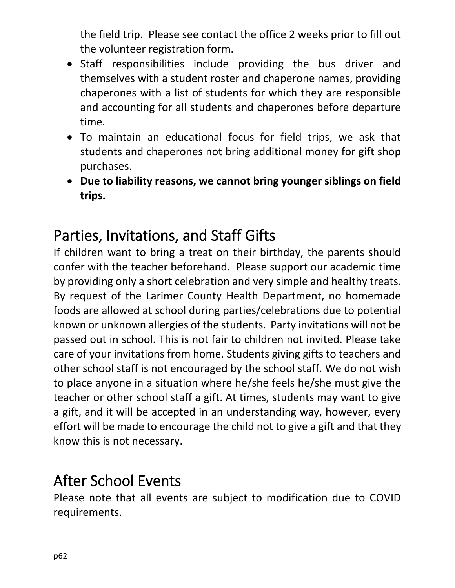the field trip. Please see contact the office 2 weeks prior to fill out the volunteer registration form.

- Staff responsibilities include providing the bus driver and themselves with a student roster and chaperone names, providing chaperones with a list of students for which they are responsible and accounting for all students and chaperones before departure time.
- To maintain an educational focus for field trips, we ask that students and chaperones not bring additional money for gift shop purchases.
- **Due to liability reasons, we cannot bring younger siblings on field trips.**

## Parties, Invitations, and Staff Gifts

If children want to bring a treat on their birthday, the parents should confer with the teacher beforehand. Please support our academic time by providing only a short celebration and very simple and healthy treats. By request of the Larimer County Health Department, no homemade foods are allowed at school during parties/celebrations due to potential known or unknown allergies of the students. Party invitations will not be passed out in school. This is not fair to children not invited. Please take care of your invitations from home. Students giving gifts to teachers and other school staff is not encouraged by the school staff. We do not wish to place anyone in a situation where he/she feels he/she must give the teacher or other school staff a gift. At times, students may want to give a gift, and it will be accepted in an understanding way, however, every effort will be made to encourage the child not to give a gift and that they know this is not necessary.

## After School Events

Please note that all events are subject to modification due to COVID requirements.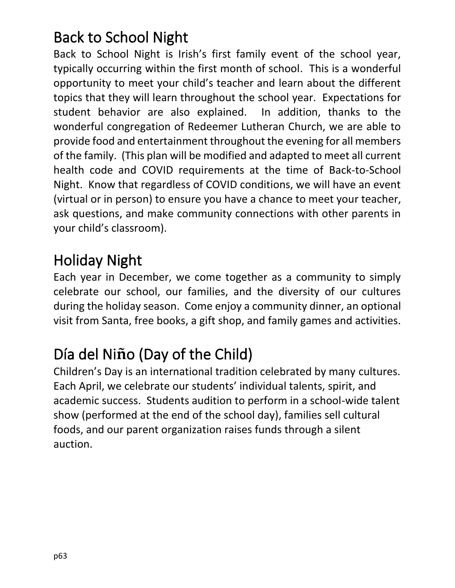## Back to School Night

Back to School Night is Irish's first family event of the school year, typically occurring within the first month of school. This is a wonderful opportunity to meet your child's teacher and learn about the different topics that they will learn throughout the school year. Expectations for student behavior are also explained. In addition, thanks to the wonderful congregation of Redeemer Lutheran Church, we are able to provide food and entertainment throughout the evening for all members of the family. (This plan will be modified and adapted to meet all current health code and COVID requirements at the time of Back-to-School Night. Know that regardless of COVID conditions, we will have an event (virtual or in person) to ensure you have a chance to meet your teacher, ask questions, and make community connections with other parents in your child's classroom).

## Holiday Night

Each year in December, we come together as a community to simply celebrate our school, our families, and the diversity of our cultures during the holiday season. Come enjoy a community dinner, an optional visit from Santa, free books, a gift shop, and family games and activities.

# Día del Ni**ñ**o (Day of the Child)

Children's Day is an international tradition celebrated by many cultures. Each April, we celebrate our students' individual talents, spirit, and academic success. Students audition to perform in a school-wide talent show (performed at the end of the school day), families sell cultural foods, and our parent organization raises funds through a silent auction.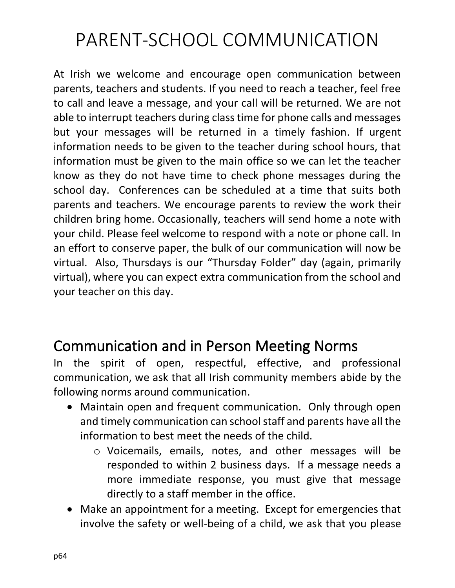# PARENT-SCHOOL COMMUNICATION

At Irish we welcome and encourage open communication between parents, teachers and students. If you need to reach a teacher, feel free to call and leave a message, and your call will be returned. We are not able to interrupt teachers during class time for phone calls and messages but your messages will be returned in a timely fashion. If urgent information needs to be given to the teacher during school hours, that information must be given to the main office so we can let the teacher know as they do not have time to check phone messages during the school day. Conferences can be scheduled at a time that suits both parents and teachers. We encourage parents to review the work their children bring home. Occasionally, teachers will send home a note with your child. Please feel welcome to respond with a note or phone call. In an effort to conserve paper, the bulk of our communication will now be virtual. Also, Thursdays is our "Thursday Folder" day (again, primarily virtual), where you can expect extra communication from the school and your teacher on this day.

## Communication and in Person Meeting Norms

In the spirit of open, respectful, effective, and professional communication, we ask that all Irish community members abide by the following norms around communication.

- Maintain open and frequent communication. Only through open and timely communication can school staff and parents have all the information to best meet the needs of the child.
	- o Voicemails, emails, notes, and other messages will be responded to within 2 business days. If a message needs a more immediate response, you must give that message directly to a staff member in the office.
- Make an appointment for a meeting. Except for emergencies that involve the safety or well-being of a child, we ask that you please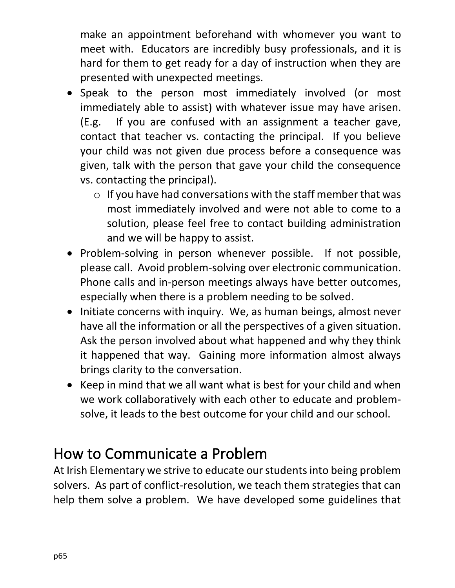make an appointment beforehand with whomever you want to meet with. Educators are incredibly busy professionals, and it is hard for them to get ready for a day of instruction when they are presented with unexpected meetings.

- Speak to the person most immediately involved (or most immediately able to assist) with whatever issue may have arisen. (E.g. If you are confused with an assignment a teacher gave, contact that teacher vs. contacting the principal. If you believe your child was not given due process before a consequence was given, talk with the person that gave your child the consequence vs. contacting the principal).
	- $\circ$  If you have had conversations with the staff member that was most immediately involved and were not able to come to a solution, please feel free to contact building administration and we will be happy to assist.
- Problem-solving in person whenever possible. If not possible, please call. Avoid problem-solving over electronic communication. Phone calls and in-person meetings always have better outcomes, especially when there is a problem needing to be solved.
- Initiate concerns with inquiry. We, as human beings, almost never have all the information or all the perspectives of a given situation. Ask the person involved about what happened and why they think it happened that way. Gaining more information almost always brings clarity to the conversation.
- Keep in mind that we all want what is best for your child and when we work collaboratively with each other to educate and problemsolve, it leads to the best outcome for your child and our school.

## How to Communicate a Problem

At Irish Elementary we strive to educate our students into being problem solvers. As part of conflict-resolution, we teach them strategies that can help them solve a problem. We have developed some guidelines that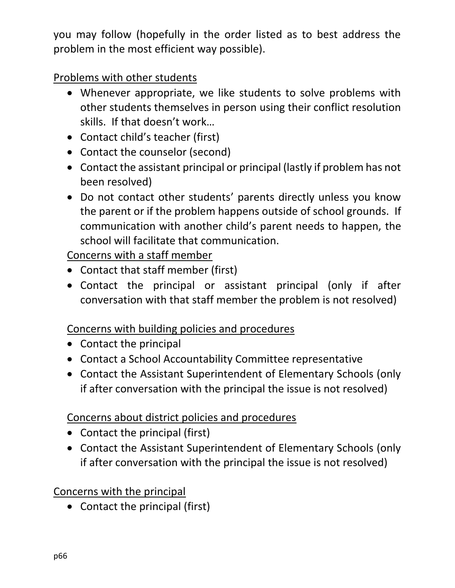you may follow (hopefully in the order listed as to best address the problem in the most efficient way possible).

Problems with other students

- Whenever appropriate, we like students to solve problems with other students themselves in person using their conflict resolution skills. If that doesn't work…
- Contact child's teacher (first)
- Contact the counselor (second)
- Contact the assistant principal or principal (lastly if problem has not been resolved)
- Do not contact other students' parents directly unless you know the parent or if the problem happens outside of school grounds. If communication with another child's parent needs to happen, the school will facilitate that communication.

Concerns with a staff member

- Contact that staff member (first)
- Contact the principal or assistant principal (only if after conversation with that staff member the problem is not resolved)

Concerns with building policies and procedures

- Contact the principal
- Contact a School Accountability Committee representative
- Contact the Assistant Superintendent of Elementary Schools (only if after conversation with the principal the issue is not resolved)

#### Concerns about district policies and procedures

- Contact the principal (first)
- Contact the Assistant Superintendent of Elementary Schools (only if after conversation with the principal the issue is not resolved)

#### Concerns with the principal

• Contact the principal (first)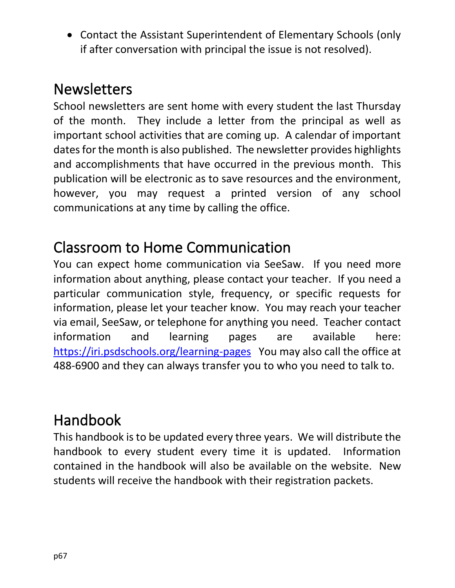• Contact the Assistant Superintendent of Elementary Schools (only if after conversation with principal the issue is not resolved).

## **Newsletters**

School newsletters are sent home with every student the last Thursday of the month. They include a letter from the principal as well as important school activities that are coming up. A calendar of important dates for the month is also published. The newsletter provides highlights and accomplishments that have occurred in the previous month. This publication will be electronic as to save resources and the environment, however, you may request a printed version of any school communications at any time by calling the office.

## Classroom to Home Communication

You can expect home communication via SeeSaw. If you need more information about anything, please contact your teacher. If you need a particular communication style, frequency, or specific requests for information, please let your teacher know. You may reach your teacher via email, SeeSaw, or telephone for anything you need. Teacher contact information and learning pages are available here: <https://iri.psdschools.org/learning-pages>You may also call the office at 488-6900 and they can always transfer you to who you need to talk to.

#### Handbook

This handbook is to be updated every three years. We will distribute the handbook to every student every time it is updated. Information contained in the handbook will also be available on the website. New students will receive the handbook with their registration packets.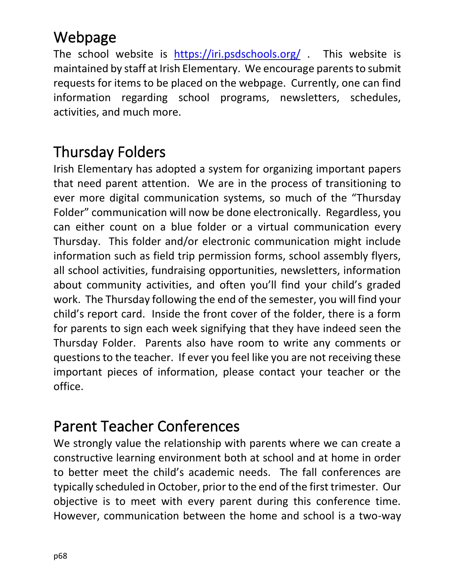## Webpage

The school website is <https://iri.psdschools.org/> . This website is maintained by staff at Irish Elementary. We encourage parents to submit requests for items to be placed on the webpage. Currently, one can find information regarding school programs, newsletters, schedules, activities, and much more.

## Thursday Folders

Irish Elementary has adopted a system for organizing important papers that need parent attention. We are in the process of transitioning to ever more digital communication systems, so much of the "Thursday Folder" communication will now be done electronically. Regardless, you can either count on a blue folder or a virtual communication every Thursday. This folder and/or electronic communication might include information such as field trip permission forms, school assembly flyers, all school activities, fundraising opportunities, newsletters, information about community activities, and often you'll find your child's graded work. The Thursday following the end of the semester, you will find your child's report card. Inside the front cover of the folder, there is a form for parents to sign each week signifying that they have indeed seen the Thursday Folder. Parents also have room to write any comments or questions to the teacher. If ever you feel like you are not receiving these important pieces of information, please contact your teacher or the office.

#### Parent Teacher Conferences

We strongly value the relationship with parents where we can create a constructive learning environment both at school and at home in order to better meet the child's academic needs. The fall conferences are typically scheduled in October, prior to the end of the first trimester. Our objective is to meet with every parent during this conference time. However, communication between the home and school is a two-way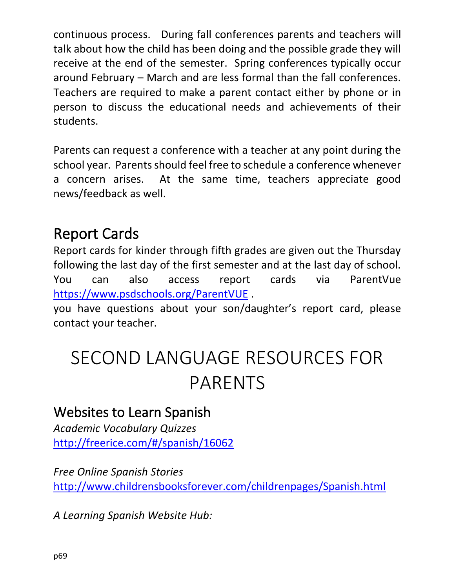continuous process. During fall conferences parents and teachers will talk about how the child has been doing and the possible grade they will receive at the end of the semester. Spring conferences typically occur around February – March and are less formal than the fall conferences. Teachers are required to make a parent contact either by phone or in person to discuss the educational needs and achievements of their students.

Parents can request a conference with a teacher at any point during the school year. Parents should feel free to schedule a conference whenever a concern arises. At the same time, teachers appreciate good news/feedback as well.

## Report Cards

Report cards for kinder through fifth grades are given out the Thursday following the last day of the first semester and at the last day of school. You can also access report cards via ParentVue <https://www.psdschools.org/ParentVUE> .

you have questions about your son/daughter's report card, please contact your teacher.

# SECOND LANGUAGE RESOURCES FOR PARENTS

#### Websites to Learn Spanish

*Academic Vocabulary Quizzes* <http://freerice.com/#/spanish/16062>

*Free Online Spanish Stories* <http://www.childrensbooksforever.com/childrenpages/Spanish.html>

*A Learning Spanish Website Hub:*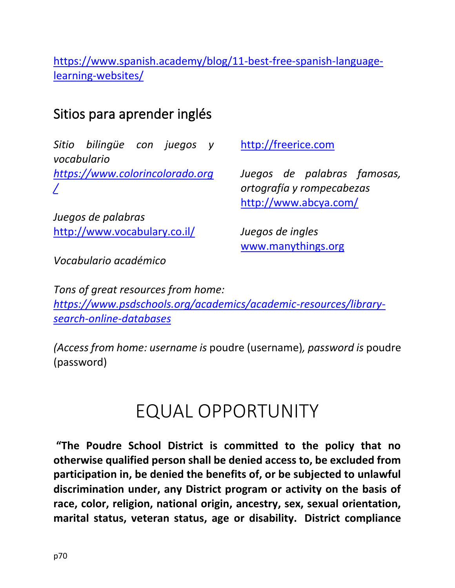[https://www.spanish.academy/blog/11-best-free-spanish-language](https://www.spanish.academy/blog/11-best-free-spanish-language-learning-websites/)[learning-websites/](https://www.spanish.academy/blog/11-best-free-spanish-language-learning-websites/)

#### Sitios para aprender inglés

*Sitio bilingüe con juegos y vocabulario [https://www.colorincolorado.org](https://www.colorincolorado.org/) [/](https://www.colorincolorado.org/)*

*Juegos de palabras* <http://www.vocabulary.co.il/> [http://freerice.com](http://freerice.com/) 

*Juegos de palabras famosas, ortografía y rompecabezas* <http://www.abcya.com/>

*Juegos de ingles* [www.manythings.org](https://poudreschools-my.sharepoint.com/personal/dautenri_psdschools_org/Documents/Important%20Office%20Documents/www.manythings.org)

*Vocabulario académico*

*Tons of great resources from home: [https://www.psdschools.org/academics/academic-resources/library](https://www.psdschools.org/academics/academic-resources/library-search-online-databases)[search-online-databases](https://www.psdschools.org/academics/academic-resources/library-search-online-databases)*

*(Access from home: username is* poudre (username)*, password is* poudre (password)

# EQUAL OPPORTUNITY

**"The Poudre School District is committed to the policy that no otherwise qualified person shall be denied access to, be excluded from participation in, be denied the benefits of, or be subjected to unlawful discrimination under, any District program or activity on the basis of race, color, religion, national origin, ancestry, sex, sexual orientation, marital status, veteran status, age or disability. District compliance**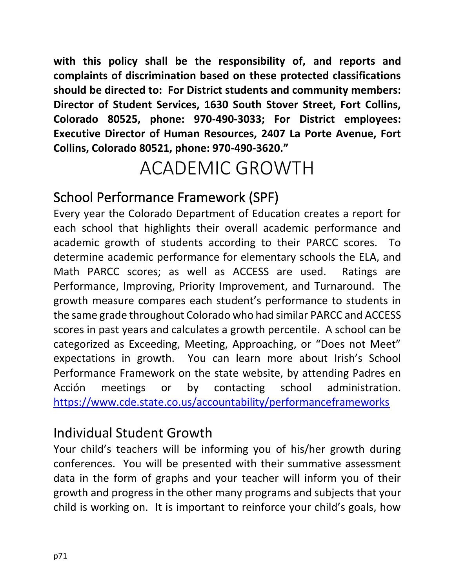**with this policy shall be the responsibility of, and reports and complaints of discrimination based on these protected classifications should be directed to: For District students and community members: Director of Student Services, 1630 South Stover Street, Fort Collins, Colorado 80525, phone: 970-490-3033; For District employees: Executive Director of Human Resources, 2407 La Porte Avenue, Fort Collins, Colorado 80521, phone: 970-490-3620."**

# ACADEMIC GROWTH

#### School Performance Framework (SPF)

Every year the Colorado Department of Education creates a report for each school that highlights their overall academic performance and academic growth of students according to their PARCC scores. To determine academic performance for elementary schools the ELA, and Math PARCC scores; as well as ACCESS are used. Ratings are Performance, Improving, Priority Improvement, and Turnaround. The growth measure compares each student's performance to students in the same grade throughout Colorado who had similar PARCC and ACCESS scores in past years and calculates a growth percentile. A school can be categorized as Exceeding, Meeting, Approaching, or "Does not Meet" expectations in growth. You can learn more about Irish's School Performance Framework on the state website, by attending Padres en Acción meetings or by contacting school administration. <https://www.cde.state.co.us/accountability/performanceframeworks>

#### Individual Student Growth

Your child's teachers will be informing you of his/her growth during conferences. You will be presented with their summative assessment data in the form of graphs and your teacher will inform you of their growth and progress in the other many programs and subjects that your child is working on. It is important to reinforce your child's goals, how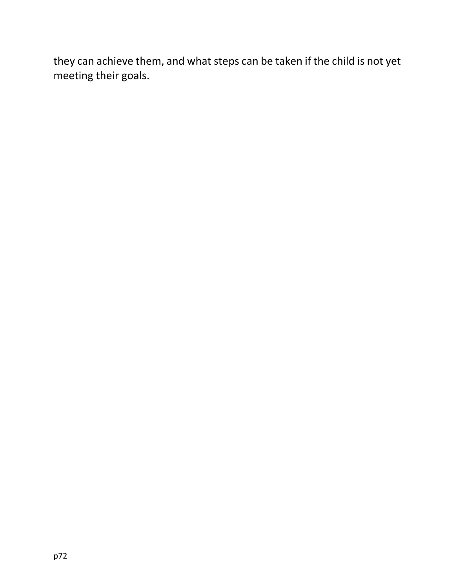they can achieve them, and what steps can be taken if the child is not yet meeting their goals.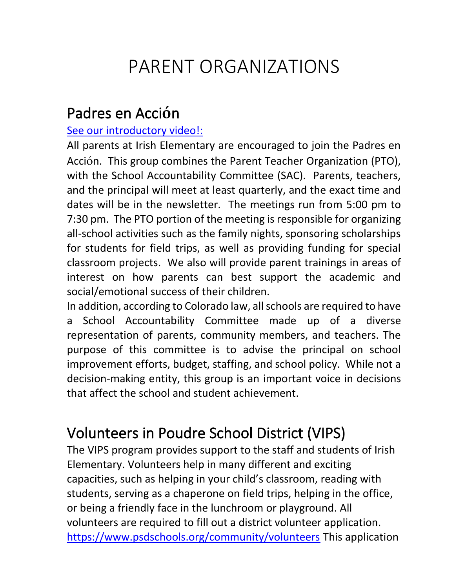## PARENT ORGANIZATIONS

#### Padres en Acci**ó**n

#### See our introductory video!:

All parents at Irish Elementary are encouraged to join the Padres en Acción. This group combines the Parent Teacher Organization (PTO), with the School Accountability Committee (SAC). Parents, teachers, and the principal will meet at least quarterly, and the exact time and dates will be in the newsletter. The meetings run from 5:00 pm to 7:30 pm. The PTO portion of the meeting is responsible for organizing all-school activities such as the family nights, sponsoring scholarships for students for field trips, as well as providing funding for special classroom projects. We also will provide parent trainings in areas of interest on how parents can best support the academic and social/emotional success of their children.

In addition, according to Colorado law, all schools are required to have a School Accountability Committee made up of a diverse representation of parents, community members, and teachers. The purpose of this committee is to advise the principal on school improvement efforts, budget, staffing, and school policy. While not a decision-making entity, this group is an important voice in decisions that affect the school and student achievement.

### Volunteers in Poudre School District (VIPS)

The VIPS program provides support to the staff and students of Irish Elementary. Volunteers help in many different and exciting capacities, such as helping in your child's classroom, reading with students, serving as a chaperone on field trips, helping in the office, or being a friendly face in the lunchroom or playground. All volunteers are required to fill out a district volunteer application. <https://www.psdschools.org/community/volunteers> This application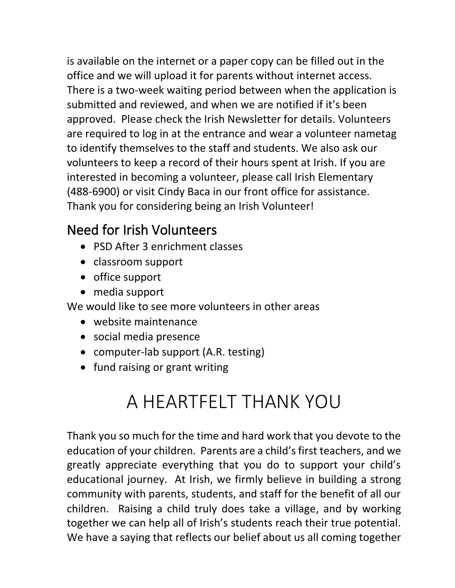is available on the internet or a paper copy can be filled out in the office and we will upload it for parents without internet access. There is a two-week waiting period between when the application is submitted and reviewed, and when we are notified if it's been approved. Please check the Irish Newsletter for details. Volunteers are required to log in at the entrance and wear a volunteer nametag to identify themselves to the staff and students. We also ask our volunteers to keep a record of their hours spent at Irish. If you are interested in becoming a volunteer, please call Irish Elementary (488-6900) or visit Cindy Baca in our front office for assistance. Thank you for considering being an Irish Volunteer!

#### Need for Irish Volunteers

- PSD After 3 enrichment classes
- classroom support
- office support
- media support

We would like to see more volunteers in other areas

- website maintenance
- social media presence
- computer-lab support (A.R. testing)
- fund raising or grant writing

# A HEARTFELT THANK YOU

Thank you so much for the time and hard work that you devote to the education of your children. Parents are a child's first teachers, and we greatly appreciate everything that you do to support your child's educational journey. At Irish, we firmly believe in building a strong community with parents, students, and staff for the benefit of all our children. Raising a child truly does take a village, and by working together we can help all of Irish's students reach their true potential. We have a saying that reflects our belief about us all coming together